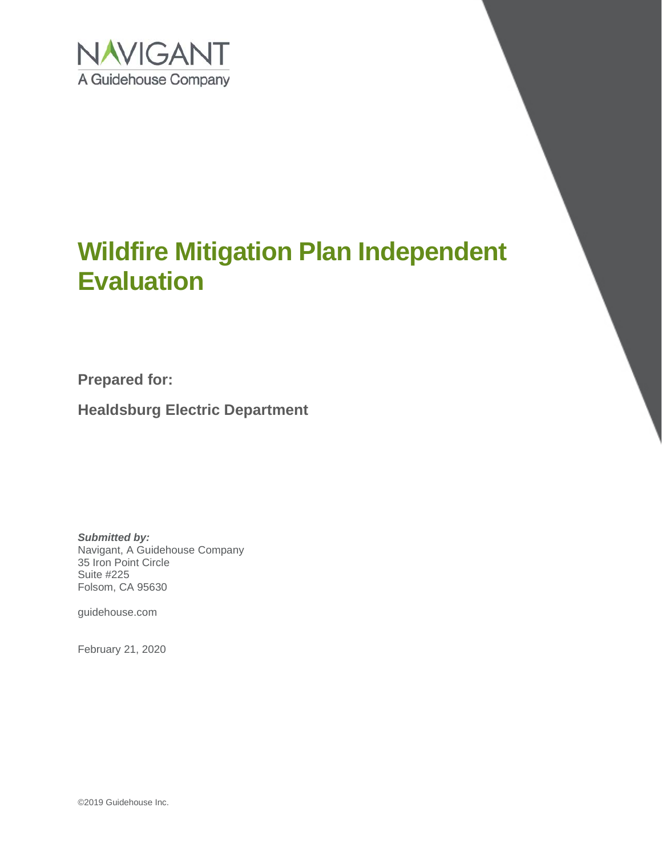

# **Wildfire Mitigation Plan Independent Evaluation**

**Prepared for:**

**Healdsburg Electric Department**

*Submitted by:* Navigant, A Guidehouse Company 35 Iron Point Circle Suite #225 Folsom, CA 95630

guidehouse.com

February 21, 2020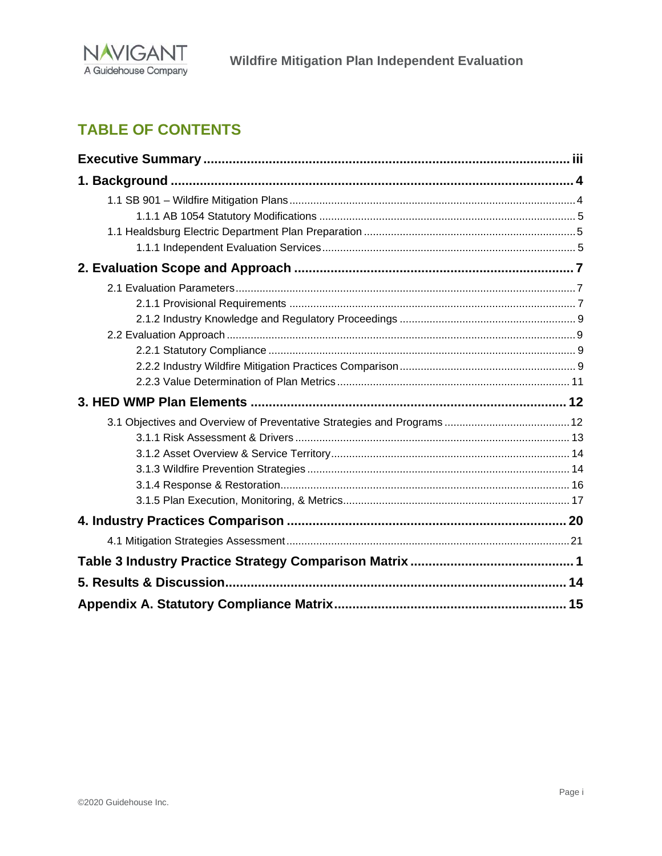

# **TABLE OF CONTENTS**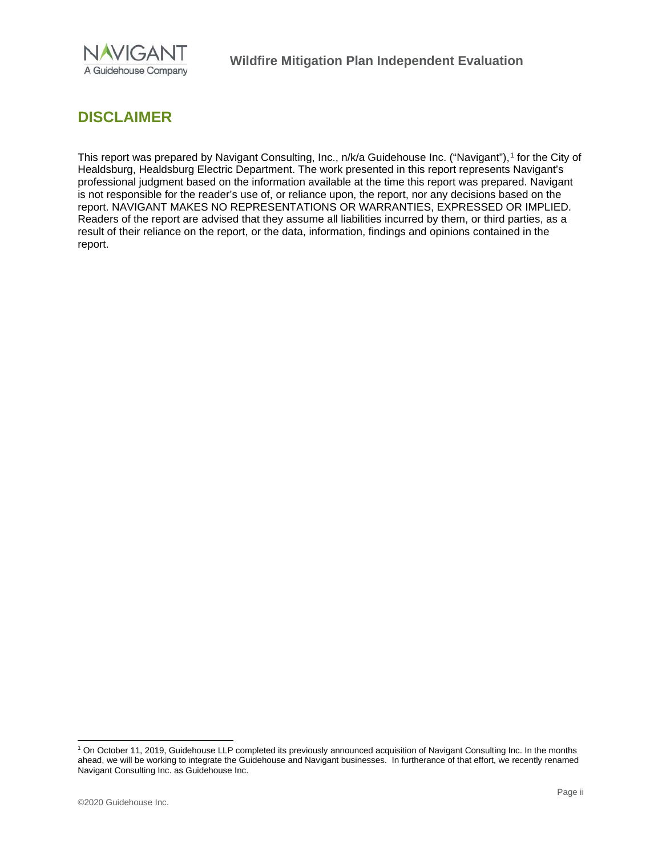

# **DISCLAIMER**

This report was prepared by Navigant Consulting, Inc., n/k/a Guidehouse Inc. ("Navigant"),<sup>[1](#page-2-0)</sup> for the City of Healdsburg, Healdsburg Electric Department. The work presented in this report represents Navigant's professional judgment based on the information available at the time this report was prepared. Navigant is not responsible for the reader's use of, or reliance upon, the report, nor any decisions based on the report. NAVIGANT MAKES NO REPRESENTATIONS OR WARRANTIES, EXPRESSED OR IMPLIED. Readers of the report are advised that they assume all liabilities incurred by them, or third parties, as a result of their reliance on the report, or the data, information, findings and opinions contained in the report.

<span id="page-2-0"></span><sup>1</sup> On October 11, 2019, Guidehouse LLP completed its previously announced acquisition of Navigant Consulting Inc. In the months ahead, we will be working to integrate the Guidehouse and Navigant businesses. In furtherance of that effort, we recently renamed Navigant Consulting Inc. as Guidehouse Inc.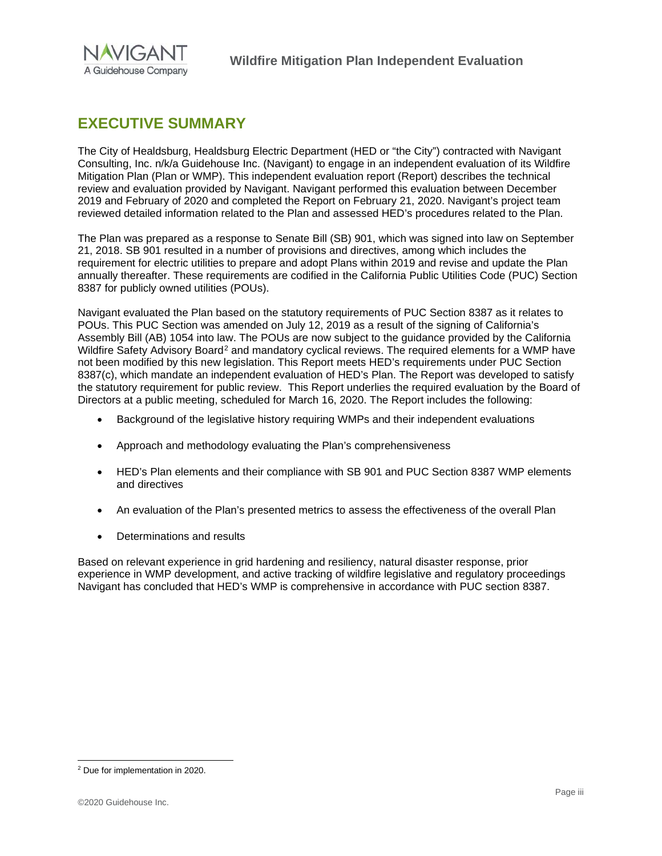

# <span id="page-3-0"></span>**EXECUTIVE SUMMARY**

The City of Healdsburg, Healdsburg Electric Department (HED or "the City") contracted with Navigant Consulting, Inc. n/k/a Guidehouse Inc. (Navigant) to engage in an independent evaluation of its Wildfire Mitigation Plan (Plan or WMP). This independent evaluation report (Report) describes the technical review and evaluation provided by Navigant. Navigant performed this evaluation between December 2019 and February of 2020 and completed the Report on February 21, 2020. Navigant's project team reviewed detailed information related to the Plan and assessed HED's procedures related to the Plan.

The Plan was prepared as a response to Senate Bill (SB) 901, which was signed into law on September 21, 2018. SB 901 resulted in a number of provisions and directives, among which includes the requirement for electric utilities to prepare and adopt Plans within 2019 and revise and update the Plan annually thereafter. These requirements are codified in the California Public Utilities Code (PUC) Section 8387 for publicly owned utilities (POUs).

Navigant evaluated the Plan based on the statutory requirements of PUC Section 8387 as it relates to POUs. This PUC Section was amended on July 12, 2019 as a result of the signing of California's Assembly Bill (AB) 1054 into law. The POUs are now subject to the guidance provided by the California Wildfire Safety Advisory Board<sup>[2](#page-3-1)</sup> and mandatory cyclical reviews. The required elements for a WMP have not been modified by this new legislation. This Report meets HED's requirements under PUC Section 8387(c), which mandate an independent evaluation of HED's Plan. The Report was developed to satisfy the statutory requirement for public review. This Report underlies the required evaluation by the Board of Directors at a public meeting, scheduled for March 16, 2020. The Report includes the following:

- Background of the legislative history requiring WMPs and their independent evaluations
- Approach and methodology evaluating the Plan's comprehensiveness
- HED's Plan elements and their compliance with SB 901 and PUC Section 8387 WMP elements and directives
- An evaluation of the Plan's presented metrics to assess the effectiveness of the overall Plan
- Determinations and results

Based on relevant experience in grid hardening and resiliency, natural disaster response, prior experience in WMP development, and active tracking of wildfire legislative and regulatory proceedings Navigant has concluded that HED's WMP is comprehensive in accordance with PUC section 8387.

<span id="page-3-1"></span><sup>2</sup> Due for implementation in 2020.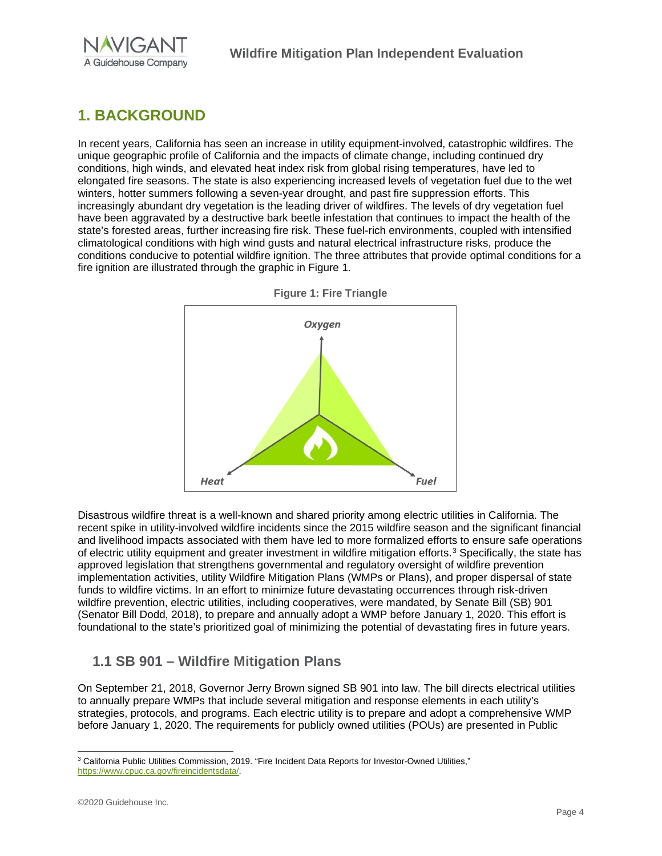

# <span id="page-4-0"></span>**1. BACKGROUND**

In recent years, California has seen an increase in utility equipment-involved, catastrophic wildfires. The unique geographic profile of California and the impacts of climate change, including continued dry conditions, high winds, and elevated heat index risk from global rising temperatures, have led to elongated fire seasons. The state is also experiencing increased levels of vegetation fuel due to the wet winters, hotter summers following a seven-year drought, and past fire suppression efforts. This increasingly abundant dry vegetation is the leading driver of wildfires. The levels of dry vegetation fuel have been aggravated by a destructive bark beetle infestation that continues to impact the health of the state's forested areas, further increasing fire risk. These fuel-rich environments, coupled with intensified climatological conditions with high wind gusts and natural electrical infrastructure risks, produce the conditions conducive to potential wildfire ignition. The three attributes that provide optimal conditions for a fire ignition are illustrated through the graphic in [Figure 1.](#page-4-2)

<span id="page-4-2"></span>



Disastrous wildfire threat is a well-known and shared priority among electric utilities in California. The recent spike in utility-involved wildfire incidents since the 2015 wildfire season and the significant financial and livelihood impacts associated with them have led to more formalized efforts to ensure safe operations of electric utility equipment and greater investment in wildfire mitigation efforts.<sup>[3](#page-4-3)</sup> Specifically, the state has approved legislation that strengthens governmental and regulatory oversight of wildfire prevention implementation activities, utility Wildfire Mitigation Plans (WMPs or Plans), and proper dispersal of state funds to wildfire victims. In an effort to minimize future devastating occurrences through risk-driven wildfire prevention, electric utilities, including cooperatives, were mandated, by Senate Bill (SB) 901 (Senator Bill Dodd, 2018), to prepare and annually adopt a WMP before January 1, 2020. This effort is foundational to the state's prioritized goal of minimizing the potential of devastating fires in future years.

# <span id="page-4-1"></span>**1.1 SB 901 – Wildfire Mitigation Plans**

On September 21, 2018, Governor Jerry Brown signed SB 901 into law. The bill directs electrical utilities to annually prepare WMPs that include several mitigation and response elements in each utility's strategies, protocols, and programs. Each electric utility is to prepare and adopt a comprehensive WMP before January 1, 2020. The requirements for publicly owned utilities (POUs) are presented in Public

<span id="page-4-3"></span><sup>&</sup>lt;sup>3</sup> California Public Utilities Commission, 2019. "Fire Incident Data Reports for Investor-Owned Utilities," [https://www.cpuc.ca.gov/fireincidentsdata/.](https://www.cpuc.ca.gov/fireincidentsdata/)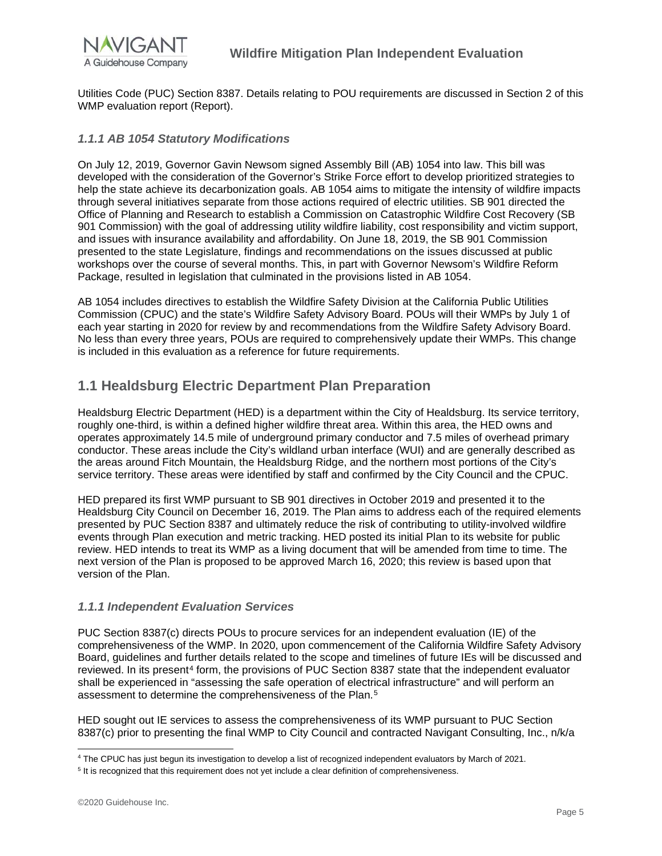

Utilities Code (PUC) Section 8387. Details relating to POU requirements are discussed in Section 2 of this WMP evaluation report (Report).

#### <span id="page-5-0"></span>*1.1.1 AB 1054 Statutory Modifications*

On July 12, 2019, Governor Gavin Newsom signed Assembly Bill (AB) 1054 into law. This bill was developed with the consideration of the Governor's Strike Force effort to develop prioritized strategies to help the state achieve its decarbonization goals. AB 1054 aims to mitigate the intensity of wildfire impacts through several initiatives separate from those actions required of electric utilities. SB 901 directed the Office of Planning and Research to establish a Commission on Catastrophic Wildfire Cost Recovery (SB 901 Commission) with the goal of addressing utility wildfire liability, cost responsibility and victim support, and issues with insurance availability and affordability. On June 18, 2019, the SB 901 Commission presented to the state Legislature, findings and recommendations on the issues discussed at public workshops over the course of several months. This, in part with Governor Newsom's Wildfire Reform Package, resulted in legislation that culminated in the provisions listed in AB 1054.

AB 1054 includes directives to establish the Wildfire Safety Division at the California Public Utilities Commission (CPUC) and the state's Wildfire Safety Advisory Board. POUs will their WMPs by July 1 of each year starting in 2020 for review by and recommendations from the Wildfire Safety Advisory Board. No less than every three years, POUs are required to comprehensively update their WMPs. This change is included in this evaluation as a reference for future requirements.

## <span id="page-5-1"></span>**1.1 Healdsburg Electric Department Plan Preparation**

Healdsburg Electric Department (HED) is a department within the City of Healdsburg. Its service territory, roughly one-third, is within a defined higher wildfire threat area. Within this area, the HED owns and operates approximately 14.5 mile of underground primary conductor and 7.5 miles of overhead primary conductor. These areas include the City's wildland urban interface (WUI) and are generally described as the areas around Fitch Mountain, the Healdsburg Ridge, and the northern most portions of the City's service territory. These areas were identified by staff and confirmed by the City Council and the CPUC.

HED prepared its first WMP pursuant to SB 901 directives in October 2019 and presented it to the Healdsburg City Council on December 16, 2019. The Plan aims to address each of the required elements presented by PUC Section 8387 and ultimately reduce the risk of contributing to utility-involved wildfire events through Plan execution and metric tracking. HED posted its initial Plan to its website for public review. HED intends to treat its WMP as a living document that will be amended from time to time. The next version of the Plan is proposed to be approved March 16, 2020; this review is based upon that version of the Plan.

#### <span id="page-5-2"></span>*1.1.1 Independent Evaluation Services*

PUC Section 8387(c) directs POUs to procure services for an independent evaluation (IE) of the comprehensiveness of the WMP. In 2020, upon commencement of the California Wildfire Safety Advisory Board, guidelines and further details related to the scope and timelines of future IEs will be discussed and reviewed. In its present<sup>[4](#page-5-3)</sup> form, the provisions of PUC Section 8387 state that the independent evaluator shall be experienced in "assessing the safe operation of electrical infrastructure" and will perform an assessment to determine the comprehensiveness of the Plan.[5](#page-5-4)

HED sought out IE services to assess the comprehensiveness of its WMP pursuant to PUC Section 8387(c) prior to presenting the final WMP to City Council and contracted Navigant Consulting, Inc., n/k/a

<span id="page-5-3"></span><sup>4</sup> The CPUC has just begun its investigation to develop a list of recognized independent evaluators by March of 2021.

<span id="page-5-4"></span><sup>&</sup>lt;sup>5</sup> It is recognized that this requirement does not vet include a clear definition of comprehensiveness.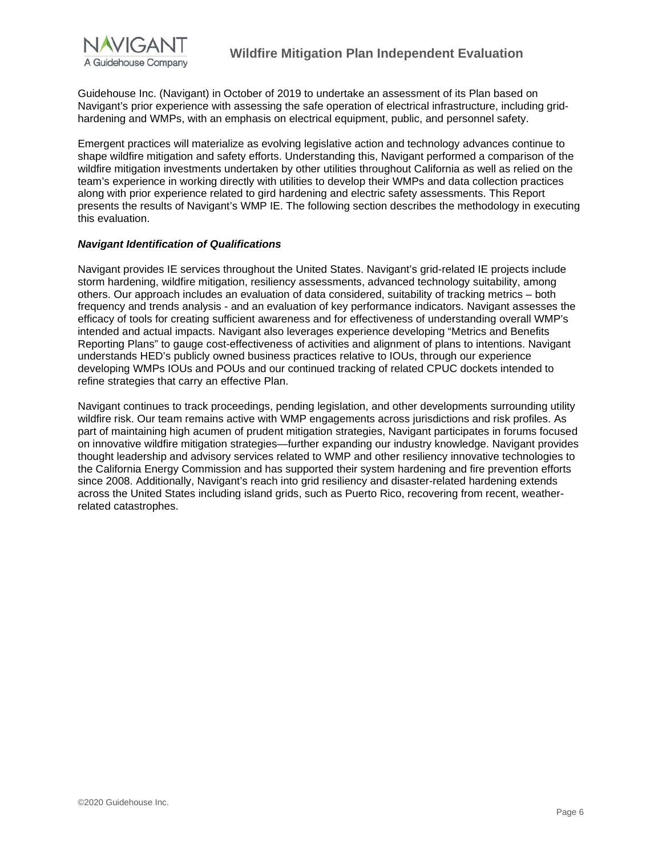

Guidehouse Inc. (Navigant) in October of 2019 to undertake an assessment of its Plan based on Navigant's prior experience with assessing the safe operation of electrical infrastructure, including gridhardening and WMPs, with an emphasis on electrical equipment, public, and personnel safety.

Emergent practices will materialize as evolving legislative action and technology advances continue to shape wildfire mitigation and safety efforts. Understanding this, Navigant performed a comparison of the wildfire mitigation investments undertaken by other utilities throughout California as well as relied on the team's experience in working directly with utilities to develop their WMPs and data collection practices along with prior experience related to gird hardening and electric safety assessments. This Report presents the results of Navigant's WMP IE. The following section describes the methodology in executing this evaluation.

#### *Navigant Identification of Qualifications*

Navigant provides IE services throughout the United States. Navigant's grid-related IE projects include storm hardening, wildfire mitigation, resiliency assessments, advanced technology suitability, among others. Our approach includes an evaluation of data considered, suitability of tracking metrics – both frequency and trends analysis - and an evaluation of key performance indicators. Navigant assesses the efficacy of tools for creating sufficient awareness and for effectiveness of understanding overall WMP's intended and actual impacts. Navigant also leverages experience developing "Metrics and Benefits Reporting Plans" to gauge cost-effectiveness of activities and alignment of plans to intentions. Navigant understands HED's publicly owned business practices relative to IOUs, through our experience developing WMPs IOUs and POUs and our continued tracking of related CPUC dockets intended to refine strategies that carry an effective Plan.

Navigant continues to track proceedings, pending legislation, and other developments surrounding utility wildfire risk. Our team remains active with WMP engagements across jurisdictions and risk profiles. As part of maintaining high acumen of prudent mitigation strategies, Navigant participates in forums focused on innovative wildfire mitigation strategies—further expanding our industry knowledge. Navigant provides thought leadership and advisory services related to WMP and other resiliency innovative technologies to the California Energy Commission and has supported their system hardening and fire prevention efforts since 2008. Additionally, Navigant's reach into grid resiliency and disaster-related hardening extends across the United States including island grids, such as Puerto Rico, recovering from recent, weatherrelated catastrophes.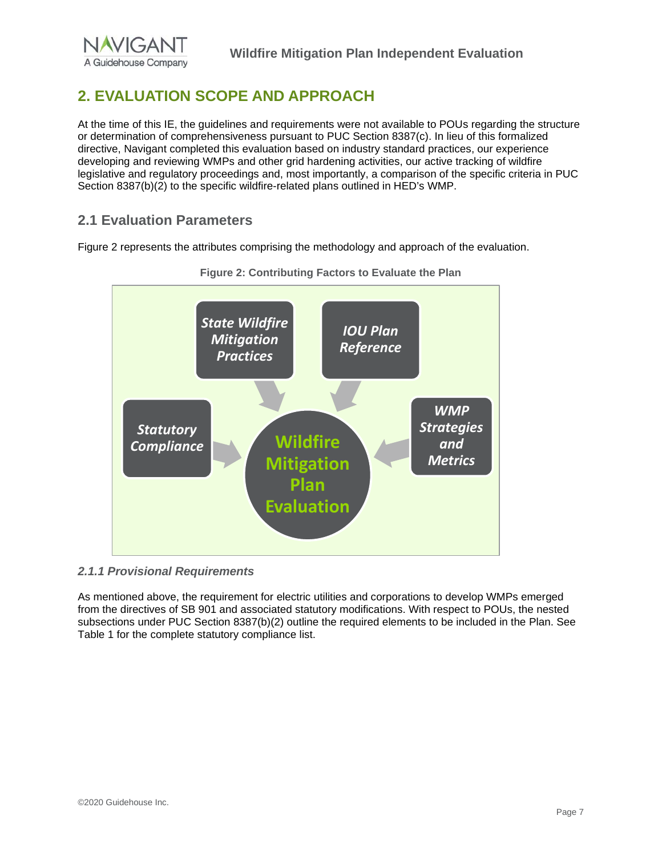# <span id="page-7-0"></span>**2. EVALUATION SCOPE AND APPROACH**

At the time of this IE, the guidelines and requirements were not available to POUs regarding the structure or determination of comprehensiveness pursuant to PUC Section 8387(c). In lieu of this formalized directive, Navigant completed this evaluation based on industry standard practices, our experience developing and reviewing WMPs and other grid hardening activities, our active tracking of wildfire legislative and regulatory proceedings and, most importantly, a comparison of the specific criteria in PUC Section 8387(b)(2) to the specific wildfire-related plans outlined in HED's WMP.

## <span id="page-7-1"></span>**2.1 Evaluation Parameters**

Figure 2 represents the attributes comprising the methodology and approach of the evaluation.





#### <span id="page-7-2"></span>*2.1.1 Provisional Requirements*

As mentioned above, the requirement for electric utilities and corporations to develop WMPs emerged from the directives of SB 901 and associated statutory modifications. With respect to POUs, the nested subsections under PUC Section 8387(b)(2) outline the required elements to be included in the Plan. See Table 1 for the complete statutory compliance list.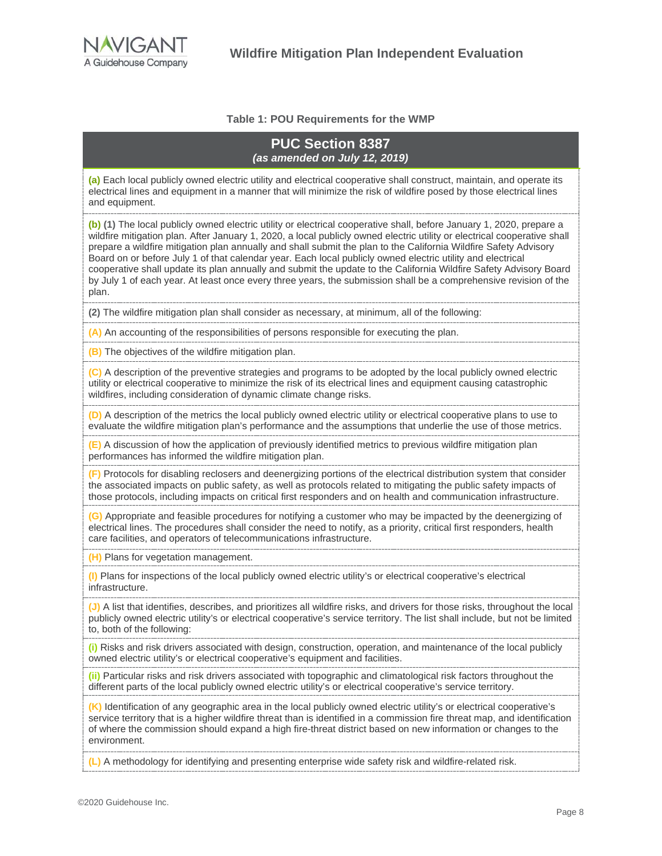

#### **Table 1: POU Requirements for the WMP**

#### **PUC Section 8387**  *(as amended on July 12, 2019)*

**(a)** Each local publicly owned electric utility and electrical cooperative shall construct, maintain, and operate its electrical lines and equipment in a manner that will minimize the risk of wildfire posed by those electrical lines and equipment.

**(b) (1)** The local publicly owned electric utility or electrical cooperative shall, before January 1, 2020, prepare a wildfire mitigation plan. After January 1, 2020, a local publicly owned electric utility or electrical cooperative shall prepare a wildfire mitigation plan annually and shall submit the plan to the California Wildfire Safety Advisory Board on or before July 1 of that calendar year. Each local publicly owned electric utility and electrical cooperative shall update its plan annually and submit the update to the California Wildfire Safety Advisory Board by July 1 of each year. At least once every three years, the submission shall be a comprehensive revision of the plan.

**(2)** The wildfire mitigation plan shall consider as necessary, at minimum, all of the following:

**(A)** An accounting of the responsibilities of persons responsible for executing the plan.

**(B)** The objectives of the wildfire mitigation plan.

**(C)** A description of the preventive strategies and programs to be adopted by the local publicly owned electric utility or electrical cooperative to minimize the risk of its electrical lines and equipment causing catastrophic wildfires, including consideration of dynamic climate change risks.

**(D)** A description of the metrics the local publicly owned electric utility or electrical cooperative plans to use to evaluate the wildfire mitigation plan's performance and the assumptions that underlie the use of those metrics.

**(E)** A discussion of how the application of previously identified metrics to previous wildfire mitigation plan performances has informed the wildfire mitigation plan.

**(F)** Protocols for disabling reclosers and deenergizing portions of the electrical distribution system that consider the associated impacts on public safety, as well as protocols related to mitigating the public safety impacts of those protocols, including impacts on critical first responders and on health and communication infrastructure.

**(G)** Appropriate and feasible procedures for notifying a customer who may be impacted by the deenergizing of electrical lines. The procedures shall consider the need to notify, as a priority, critical first responders, health care facilities, and operators of telecommunications infrastructure.

**(H)** Plans for vegetation management.

**(I)** Plans for inspections of the local publicly owned electric utility's or electrical cooperative's electrical infrastructure.

**(J)** A list that identifies, describes, and prioritizes all wildfire risks, and drivers for those risks, throughout the local publicly owned electric utility's or electrical cooperative's service territory. The list shall include, but not be limited to, both of the following:

**(i)** Risks and risk drivers associated with design, construction, operation, and maintenance of the local publicly owned electric utility's or electrical cooperative's equipment and facilities.

**(ii)** Particular risks and risk drivers associated with topographic and climatological risk factors throughout the different parts of the local publicly owned electric utility's or electrical cooperative's service territory.

**(K)** Identification of any geographic area in the local publicly owned electric utility's or electrical cooperative's service territory that is a higher wildfire threat than is identified in a commission fire threat map, and identification of where the commission should expand a high fire-threat district based on new information or changes to the environment.

**(L)** A methodology for identifying and presenting enterprise wide safety risk and wildfire-related risk.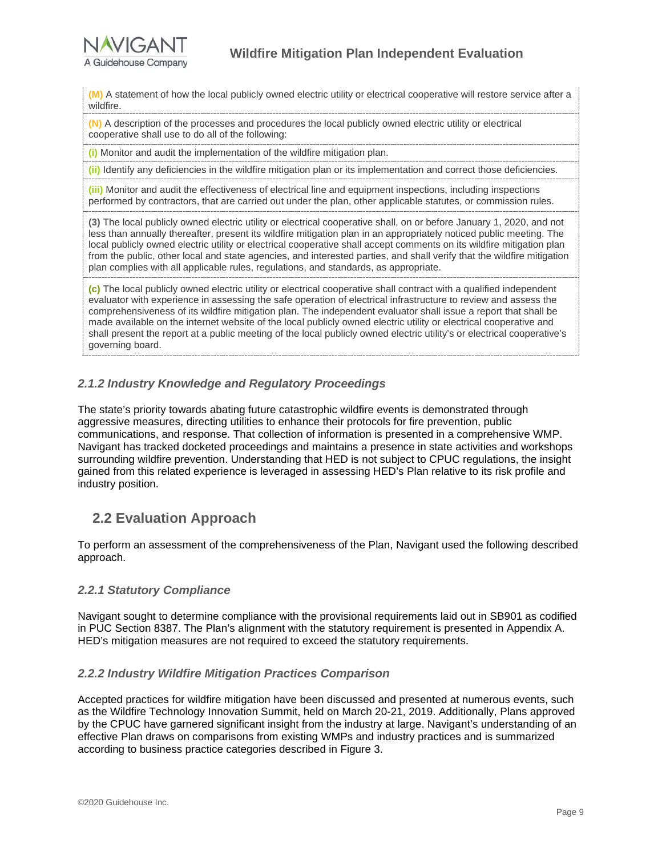

**(M)** A statement of how the local publicly owned electric utility or electrical cooperative will restore service after a wildfire.

**(N)** A description of the processes and procedures the local publicly owned electric utility or electrical cooperative shall use to do all of the following:

**(i)** Monitor and audit the implementation of the wildfire mitigation plan.

**(ii)** Identify any deficiencies in the wildfire mitigation plan or its implementation and correct those deficiencies.

**(iii)** Monitor and audit the effectiveness of electrical line and equipment inspections, including inspections performed by contractors, that are carried out under the plan, other applicable statutes, or commission rules.

**(3)** The local publicly owned electric utility or electrical cooperative shall, on or before January 1, 2020, and not less than annually thereafter, present its wildfire mitigation plan in an appropriately noticed public meeting. The local publicly owned electric utility or electrical cooperative shall accept comments on its wildfire mitigation plan from the public, other local and state agencies, and interested parties, and shall verify that the wildfire mitigation plan complies with all applicable rules, regulations, and standards, as appropriate.

**(c)** The local publicly owned electric utility or electrical cooperative shall contract with a qualified independent evaluator with experience in assessing the safe operation of electrical infrastructure to review and assess the comprehensiveness of its wildfire mitigation plan. The independent evaluator shall issue a report that shall be made available on the internet website of the local publicly owned electric utility or electrical cooperative and shall present the report at a public meeting of the local publicly owned electric utility's or electrical cooperative's governing board.

### <span id="page-9-0"></span>*2.1.2 Industry Knowledge and Regulatory Proceedings*

The state's priority towards abating future catastrophic wildfire events is demonstrated through aggressive measures, directing utilities to enhance their protocols for fire prevention, public communications, and response. That collection of information is presented in a comprehensive WMP. Navigant has tracked docketed proceedings and maintains a presence in state activities and workshops surrounding wildfire prevention. Understanding that HED is not subject to CPUC regulations, the insight gained from this related experience is leveraged in assessing HED's Plan relative to its risk profile and industry position.

## <span id="page-9-1"></span>**2.2 Evaluation Approach**

To perform an assessment of the comprehensiveness of the Plan, Navigant used the following described approach.

#### <span id="page-9-2"></span>*2.2.1 Statutory Compliance*

Navigant sought to determine compliance with the provisional requirements laid out in SB901 as codified in PUC Section 8387. The Plan's alignment with the statutory requirement is presented in Appendix A. HED's mitigation measures are not required to exceed the statutory requirements.

### <span id="page-9-3"></span>*2.2.2 Industry Wildfire Mitigation Practices Comparison*

Accepted practices for wildfire mitigation have been discussed and presented at numerous events, such as the Wildfire Technology Innovation Summit, held on March 20-21, 2019. Additionally, Plans approved by the CPUC have garnered significant insight from the industry at large. Navigant's understanding of an effective Plan draws on comparisons from existing WMPs and industry practices and is summarized according to business practice categories described in [Figure 3.](#page-10-0)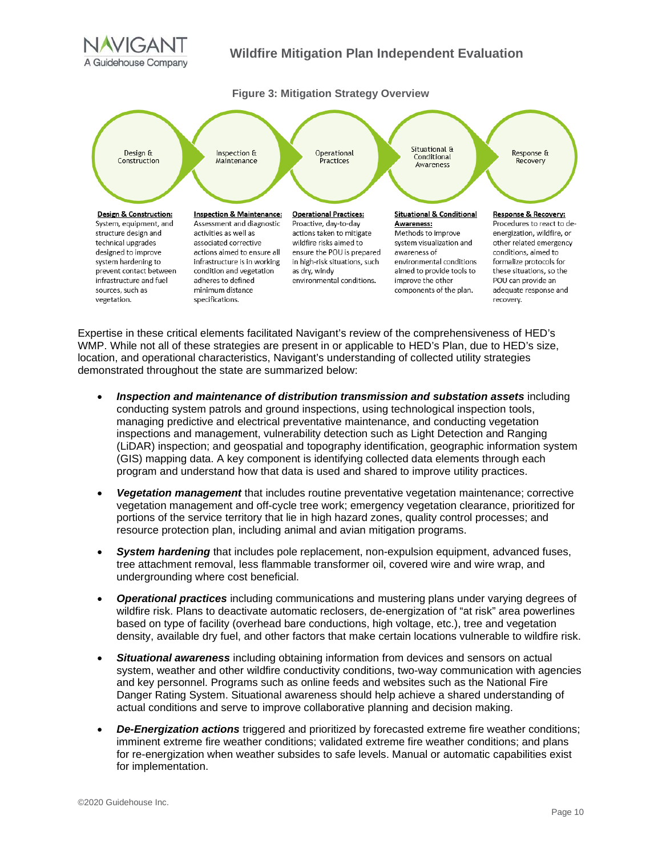

### **Wildfire Mitigation Plan Independent Evaluation**

<span id="page-10-0"></span>

Expertise in these critical elements facilitated Navigant's review of the comprehensiveness of HED's WMP. While not all of these strategies are present in or applicable to HED's Plan, due to HED's size, location, and operational characteristics, Navigant's understanding of collected utility strategies demonstrated throughout the state are summarized below:

- *Inspection and maintenance of distribution transmission and substation assets* including conducting system patrols and ground inspections, using technological inspection tools, managing predictive and electrical preventative maintenance, and conducting vegetation inspections and management, vulnerability detection such as Light Detection and Ranging (LiDAR) inspection; and geospatial and topography identification, geographic information system (GIS) mapping data. A key component is identifying collected data elements through each program and understand how that data is used and shared to improve utility practices.
- *Vegetation management* that includes routine preventative vegetation maintenance; corrective vegetation management and off-cycle tree work; emergency vegetation clearance, prioritized for portions of the service territory that lie in high hazard zones, quality control processes; and resource protection plan, including animal and avian mitigation programs.
- *System hardening* that includes pole replacement, non-expulsion equipment, advanced fuses, tree attachment removal, less flammable transformer oil, covered wire and wire wrap, and undergrounding where cost beneficial.
- *Operational practices* including communications and mustering plans under varying degrees of wildfire risk. Plans to deactivate automatic reclosers, de-energization of "at risk" area powerlines based on type of facility (overhead bare conductions, high voltage, etc.), tree and vegetation density, available dry fuel, and other factors that make certain locations vulnerable to wildfire risk.
- *Situational awareness* including obtaining information from devices and sensors on actual system, weather and other wildfire conductivity conditions, two-way communication with agencies and key personnel. Programs such as online feeds and websites such as the National Fire Danger Rating System. Situational awareness should help achieve a shared understanding of actual conditions and serve to improve collaborative planning and decision making.
- *De-Energization actions* triggered and prioritized by forecasted extreme fire weather conditions; imminent extreme fire weather conditions; validated extreme fire weather conditions; and plans for re-energization when weather subsides to safe levels. Manual or automatic capabilities exist for implementation.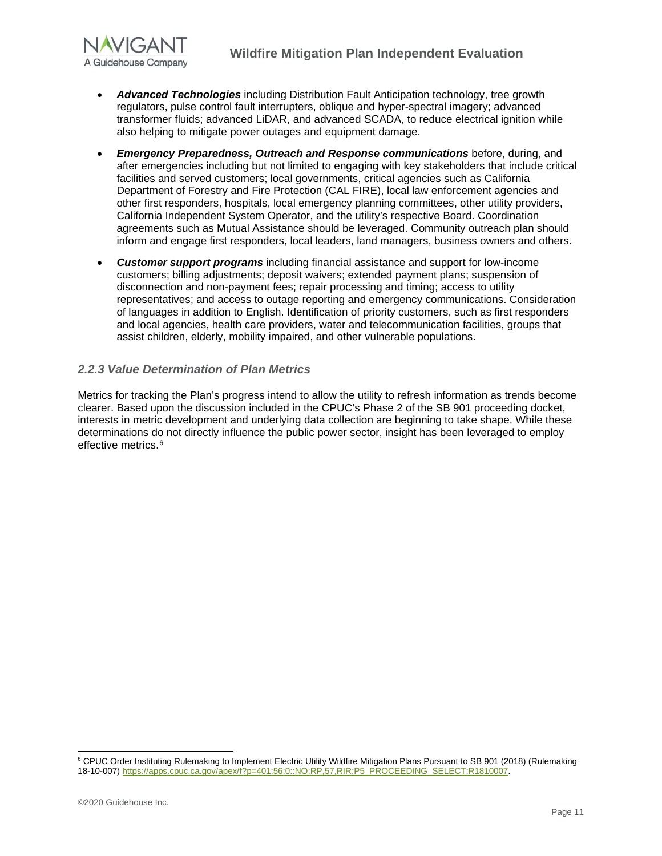

- *Advanced Technologies* including Distribution Fault Anticipation technology, tree growth regulators, pulse control fault interrupters, oblique and hyper-spectral imagery; advanced transformer fluids; advanced LiDAR, and advanced SCADA, to reduce electrical ignition while also helping to mitigate power outages and equipment damage.
- *Emergency Preparedness, Outreach and Response communications* before, during, and after emergencies including but not limited to engaging with key stakeholders that include critical facilities and served customers; local governments, critical agencies such as California Department of Forestry and Fire Protection (CAL FIRE), local law enforcement agencies and other first responders, hospitals, local emergency planning committees, other utility providers, California Independent System Operator, and the utility's respective Board. Coordination agreements such as Mutual Assistance should be leveraged. Community outreach plan should inform and engage first responders, local leaders, land managers, business owners and others.
- *Customer support programs* including financial assistance and support for low-income customers; billing adjustments; deposit waivers; extended payment plans; suspension of disconnection and non-payment fees; repair processing and timing; access to utility representatives; and access to outage reporting and emergency communications. Consideration of languages in addition to English. Identification of priority customers, such as first responders and local agencies, health care providers, water and telecommunication facilities, groups that assist children, elderly, mobility impaired, and other vulnerable populations.

### <span id="page-11-0"></span>*2.2.3 Value Determination of Plan Metrics*

Metrics for tracking the Plan's progress intend to allow the utility to refresh information as trends become clearer. Based upon the discussion included in the CPUC's Phase 2 of the SB 901 proceeding docket, interests in metric development and underlying data collection are beginning to take shape. While these determinations do not directly influence the public power sector, insight has been leveraged to employ effective metrics.<sup>[6](#page-11-1)</sup>

<span id="page-11-1"></span><sup>6</sup> CPUC Order Instituting Rulemaking to Implement Electric Utility Wildfire Mitigation Plans Pursuant to SB 901 (2018) (Rulemaking 18-10-007[\) https://apps.cpuc.ca.gov/apex/f?p=401:56:0::NO:RP,57,RIR:P5\\_PROCEEDING\\_SELECT:R1810007.](https://apps.cpuc.ca.gov/apex/f?p=401:56:0::NO:RP,57,RIR:P5_PROCEEDING_SELECT:R1810007)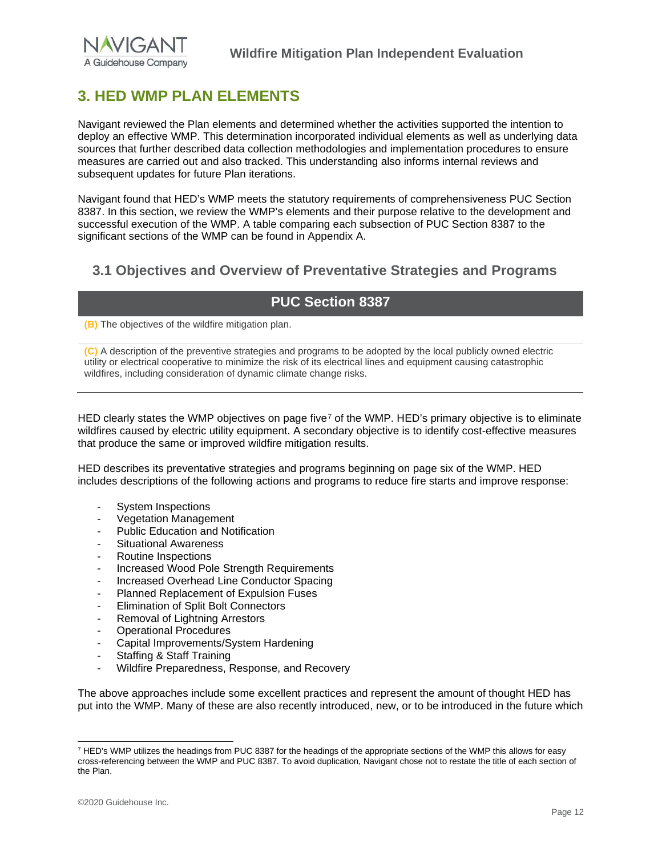# <span id="page-12-0"></span>**3. HED WMP PLAN ELEMENTS**

Navigant reviewed the Plan elements and determined whether the activities supported the intention to deploy an effective WMP. This determination incorporated individual elements as well as underlying data sources that further described data collection methodologies and implementation procedures to ensure measures are carried out and also tracked. This understanding also informs internal reviews and subsequent updates for future Plan iterations.

Navigant found that HED's WMP meets the statutory requirements of comprehensiveness PUC Section 8387. In this section, we review the WMP's elements and their purpose relative to the development and successful execution of the WMP. A table comparing each subsection of PUC Section 8387 to the significant sections of the WMP can be found in Appendix A.

## <span id="page-12-1"></span>**3.1 Objectives and Overview of Preventative Strategies and Programs**

# **PUC Section 8387**

**(B)** The objectives of the wildfire mitigation plan.

**(C)** A description of the preventive strategies and programs to be adopted by the local publicly owned electric utility or electrical cooperative to minimize the risk of its electrical lines and equipment causing catastrophic wildfires, including consideration of dynamic climate change risks.

HED clearly states the WMP objectives on page five<sup>[7](#page-12-2)</sup> of the WMP. HED's primary objective is to eliminate wildfires caused by electric utility equipment. A secondary objective is to identify cost-effective measures that produce the same or improved wildfire mitigation results.

HED describes its preventative strategies and programs beginning on page six of the WMP. HED includes descriptions of the following actions and programs to reduce fire starts and improve response:

- System Inspections
- Vegetation Management
- Public Education and Notification
- Situational Awareness
- Routine Inspections
- Increased Wood Pole Strength Requirements
- Increased Overhead Line Conductor Spacing
- Planned Replacement of Expulsion Fuses
- Elimination of Split Bolt Connectors
- Removal of Lightning Arrestors
- Operational Procedures
- Capital Improvements/System Hardening
- Staffing & Staff Training
- Wildfire Preparedness, Response, and Recovery

The above approaches include some excellent practices and represent the amount of thought HED has put into the WMP. Many of these are also recently introduced, new, or to be introduced in the future which

<span id="page-12-2"></span><sup>&</sup>lt;sup>7</sup> HED's WMP utilizes the headings from PUC 8387 for the headings of the appropriate sections of the WMP this allows for easy cross-referencing between the WMP and PUC 8387. To avoid duplication, Navigant chose not to restate the title of each section of the Plan.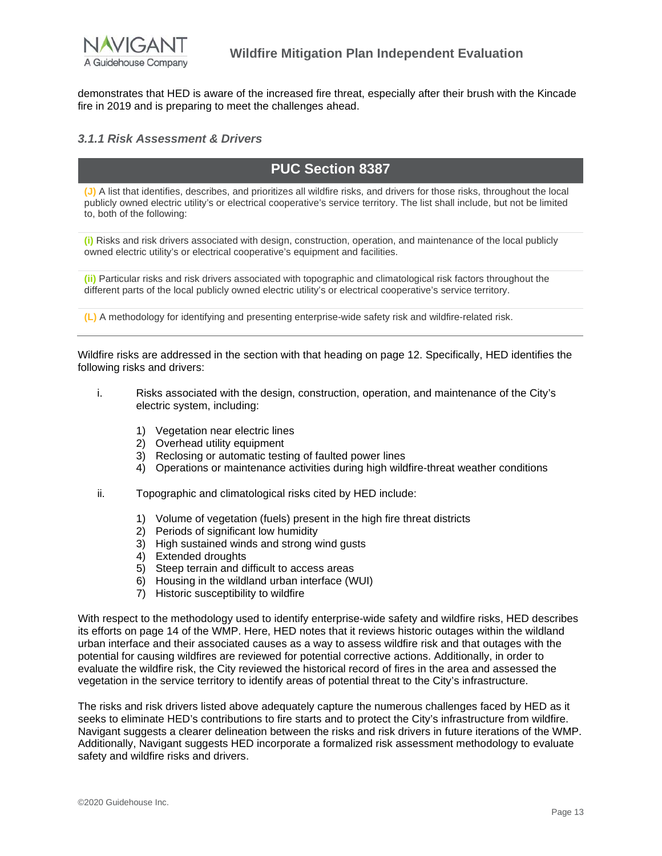

demonstrates that HED is aware of the increased fire threat, especially after their brush with the Kincade fire in 2019 and is preparing to meet the challenges ahead.

#### <span id="page-13-0"></span>*3.1.1 Risk Assessment & Drivers*

# **PUC Section 8387**

**(J)** A list that identifies, describes, and prioritizes all wildfire risks, and drivers for those risks, throughout the local publicly owned electric utility's or electrical cooperative's service territory. The list shall include, but not be limited to, both of the following:

**(i)** Risks and risk drivers associated with design, construction, operation, and maintenance of the local publicly owned electric utility's or electrical cooperative's equipment and facilities.

**(ii)** Particular risks and risk drivers associated with topographic and climatological risk factors throughout the different parts of the local publicly owned electric utility's or electrical cooperative's service territory.

**(L)** A methodology for identifying and presenting enterprise-wide safety risk and wildfire-related risk.

Wildfire risks are addressed in the section with that heading on page 12. Specifically, HED identifies the following risks and drivers:

- i. Risks associated with the design, construction, operation, and maintenance of the City's electric system, including:
	- 1) Vegetation near electric lines
	- 2) Overhead utility equipment
	- 3) Reclosing or automatic testing of faulted power lines
	- 4) Operations or maintenance activities during high wildfire-threat weather conditions
- ii. Topographic and climatological risks cited by HED include:
	- 1) Volume of vegetation (fuels) present in the high fire threat districts
	- 2) Periods of significant low humidity
	- 3) High sustained winds and strong wind gusts
	- 4) Extended droughts
	- 5) Steep terrain and difficult to access areas
	- 6) Housing in the wildland urban interface (WUI)
	- 7) Historic susceptibility to wildfire

With respect to the methodology used to identify enterprise-wide safety and wildfire risks, HED describes its efforts on page 14 of the WMP. Here, HED notes that it reviews historic outages within the wildland urban interface and their associated causes as a way to assess wildfire risk and that outages with the potential for causing wildfires are reviewed for potential corrective actions. Additionally, in order to evaluate the wildfire risk, the City reviewed the historical record of fires in the area and assessed the vegetation in the service territory to identify areas of potential threat to the City's infrastructure.

The risks and risk drivers listed above adequately capture the numerous challenges faced by HED as it seeks to eliminate HED's contributions to fire starts and to protect the City's infrastructure from wildfire. Navigant suggests a clearer delineation between the risks and risk drivers in future iterations of the WMP. Additionally, Navigant suggests HED incorporate a formalized risk assessment methodology to evaluate safety and wildfire risks and drivers.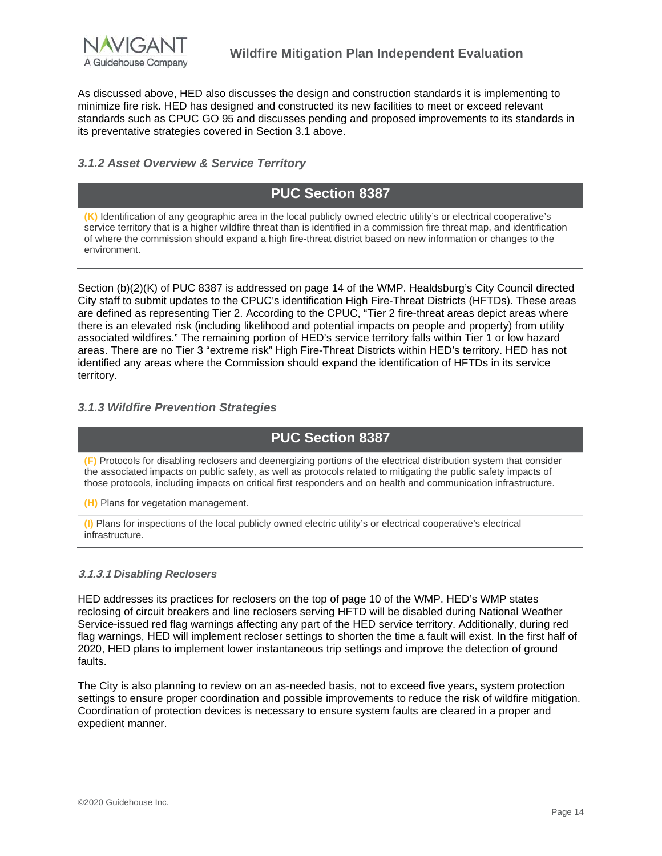

As discussed above, HED also discusses the design and construction standards it is implementing to minimize fire risk. HED has designed and constructed its new facilities to meet or exceed relevant standards such as CPUC GO 95 and discusses pending and proposed improvements to its standards in its preventative strategies covered in Section 3.1 above.

#### <span id="page-14-0"></span>*3.1.2 Asset Overview & Service Territory*

# **PUC Section 8387**

**(K)** Identification of any geographic area in the local publicly owned electric utility's or electrical cooperative's service territory that is a higher wildfire threat than is identified in a commission fire threat map, and identification of where the commission should expand a high fire-threat district based on new information or changes to the environment.

Section (b)(2)(K) of PUC 8387 is addressed on page 14 of the WMP. Healdsburg's City Council directed City staff to submit updates to the CPUC's identification High Fire-Threat Districts (HFTDs). These areas are defined as representing Tier 2. According to the CPUC, "Tier 2 fire-threat areas depict areas where there is an elevated risk (including likelihood and potential impacts on people and property) from utility associated wildfires." The remaining portion of HED's service territory falls within Tier 1 or low hazard areas. There are no Tier 3 "extreme risk" High Fire-Threat Districts within HED's territory. HED has not identified any areas where the Commission should expand the identification of HFTDs in its service territory.

#### <span id="page-14-1"></span>*3.1.3 Wildfire Prevention Strategies*

## **PUC Section 8387**

**(F)** Protocols for disabling reclosers and deenergizing portions of the electrical distribution system that consider the associated impacts on public safety, as well as protocols related to mitigating the public safety impacts of those protocols, including impacts on critical first responders and on health and communication infrastructure.

**(H)** Plans for vegetation management.

**(I)** Plans for inspections of the local publicly owned electric utility's or electrical cooperative's electrical infrastructure.

#### **3.1.3.1** *Disabling Reclosers*

HED addresses its practices for reclosers on the top of page 10 of the WMP. HED's WMP states reclosing of circuit breakers and line reclosers serving HFTD will be disabled during National Weather Service-issued red flag warnings affecting any part of the HED service territory. Additionally, during red flag warnings, HED will implement recloser settings to shorten the time a fault will exist. In the first half of 2020, HED plans to implement lower instantaneous trip settings and improve the detection of ground faults.

The City is also planning to review on an as-needed basis, not to exceed five years, system protection settings to ensure proper coordination and possible improvements to reduce the risk of wildfire mitigation. Coordination of protection devices is necessary to ensure system faults are cleared in a proper and expedient manner.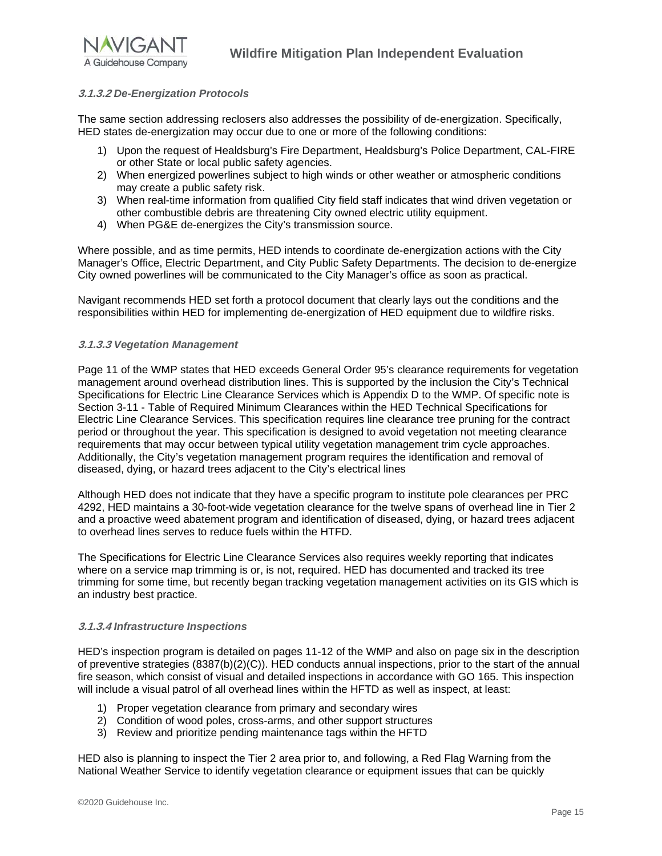

#### **3.1.3.2** *De-Energization Protocols*

The same section addressing reclosers also addresses the possibility of de-energization. Specifically, HED states de-energization may occur due to one or more of the following conditions:

- 1) Upon the request of Healdsburg's Fire Department, Healdsburg's Police Department, CAL-FIRE or other State or local public safety agencies.
- 2) When energized powerlines subject to high winds or other weather or atmospheric conditions may create a public safety risk.
- 3) When real-time information from qualified City field staff indicates that wind driven vegetation or other combustible debris are threatening City owned electric utility equipment.
- 4) When PG&E de-energizes the City's transmission source.

Where possible, and as time permits, HED intends to coordinate de-energization actions with the City Manager's Office, Electric Department, and City Public Safety Departments. The decision to de-energize City owned powerlines will be communicated to the City Manager's office as soon as practical.

Navigant recommends HED set forth a protocol document that clearly lays out the conditions and the responsibilities within HED for implementing de-energization of HED equipment due to wildfire risks.

#### **3.1.3.3** *Vegetation Management*

Page 11 of the WMP states that HED exceeds General Order 95's clearance requirements for vegetation management around overhead distribution lines. This is supported by the inclusion the City's Technical Specifications for Electric Line Clearance Services which is Appendix D to the WMP. Of specific note is Section 3-11 - Table of Required Minimum Clearances within the HED Technical Specifications for Electric Line Clearance Services. This specification requires line clearance tree pruning for the contract period or throughout the year. This specification is designed to avoid vegetation not meeting clearance requirements that may occur between typical utility vegetation management trim cycle approaches. Additionally, the City's vegetation management program requires the identification and removal of diseased, dying, or hazard trees adjacent to the City's electrical lines

Although HED does not indicate that they have a specific program to institute pole clearances per PRC 4292, HED maintains a 30-foot-wide vegetation clearance for the twelve spans of overhead line in Tier 2 and a proactive weed abatement program and identification of diseased, dying, or hazard trees adjacent to overhead lines serves to reduce fuels within the HTFD.

The Specifications for Electric Line Clearance Services also requires weekly reporting that indicates where on a service map trimming is or, is not, required. HED has documented and tracked its tree trimming for some time, but recently began tracking vegetation management activities on its GIS which is an industry best practice.

#### **3.1.3.4** *Infrastructure Inspections*

HED's inspection program is detailed on pages 11-12 of the WMP and also on page six in the description of preventive strategies (8387(b)(2)(C)). HED conducts annual inspections, prior to the start of the annual fire season, which consist of visual and detailed inspections in accordance with GO 165. This inspection will include a visual patrol of all overhead lines within the HFTD as well as inspect, at least:

- 1) Proper vegetation clearance from primary and secondary wires
- 2) Condition of wood poles, cross-arms, and other support structures
- 3) Review and prioritize pending maintenance tags within the HFTD

HED also is planning to inspect the Tier 2 area prior to, and following, a Red Flag Warning from the National Weather Service to identify vegetation clearance or equipment issues that can be quickly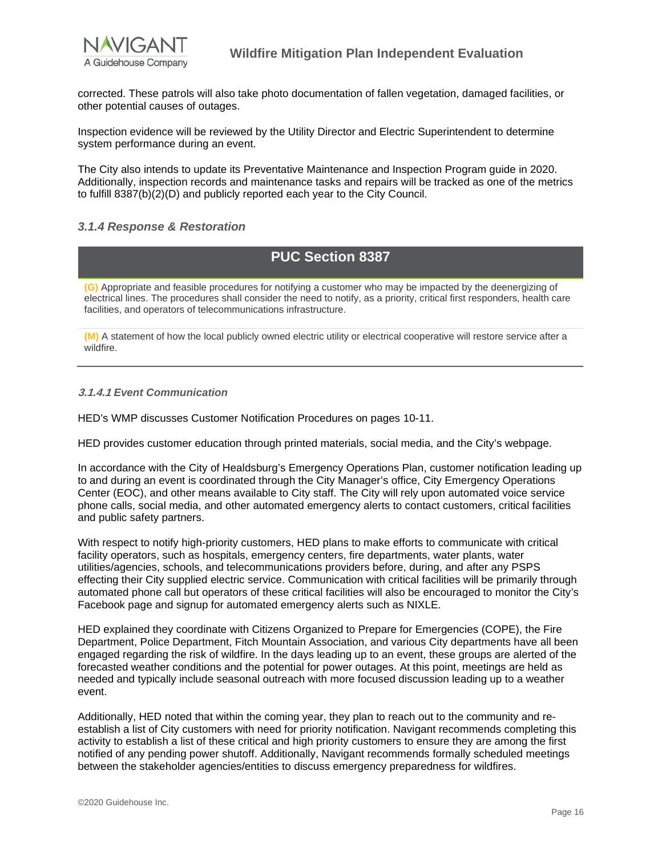

corrected. These patrols will also take photo documentation of fallen vegetation, damaged facilities, or other potential causes of outages.

Inspection evidence will be reviewed by the Utility Director and Electric Superintendent to determine system performance during an event.

The City also intends to update its Preventative Maintenance and Inspection Program guide in 2020. Additionally, inspection records and maintenance tasks and repairs will be tracked as one of the metrics to fulfill 8387(b)(2)(D) and publicly reported each year to the City Council.

### <span id="page-16-0"></span>*3.1.4 Response & Restoration*

## **PUC Section 8387**

**(G)** Appropriate and feasible procedures for notifying a customer who may be impacted by the deenergizing of electrical lines. The procedures shall consider the need to notify, as a priority, critical first responders, health care facilities, and operators of telecommunications infrastructure.

**(M)** A statement of how the local publicly owned electric utility or electrical cooperative will restore service after a wildfire.

#### **3.1.4.1** *Event Communication*

HED's WMP discusses Customer Notification Procedures on pages 10-11.

HED provides customer education through printed materials, social media, and the City's webpage.

In accordance with the City of Healdsburg's Emergency Operations Plan, customer notification leading up to and during an event is coordinated through the City Manager's office, City Emergency Operations Center (EOC), and other means available to City staff. The City will rely upon automated voice service phone calls, social media, and other automated emergency alerts to contact customers, critical facilities and public safety partners.

With respect to notify high-priority customers, HED plans to make efforts to communicate with critical facility operators, such as hospitals, emergency centers, fire departments, water plants, water utilities/agencies, schools, and telecommunications providers before, during, and after any PSPS effecting their City supplied electric service. Communication with critical facilities will be primarily through automated phone call but operators of these critical facilities will also be encouraged to monitor the City's Facebook page and signup for automated emergency alerts such as NIXLE.

HED explained they coordinate with Citizens Organized to Prepare for Emergencies (COPE), the Fire Department, Police Department, Fitch Mountain Association, and various City departments have all been engaged regarding the risk of wildfire. In the days leading up to an event, these groups are alerted of the forecasted weather conditions and the potential for power outages. At this point, meetings are held as needed and typically include seasonal outreach with more focused discussion leading up to a weather event.

Additionally, HED noted that within the coming year, they plan to reach out to the community and reestablish a list of City customers with need for priority notification. Navigant recommends completing this activity to establish a list of these critical and high priority customers to ensure they are among the first notified of any pending power shutoff. Additionally, Navigant recommends formally scheduled meetings between the stakeholder agencies/entities to discuss emergency preparedness for wildfires.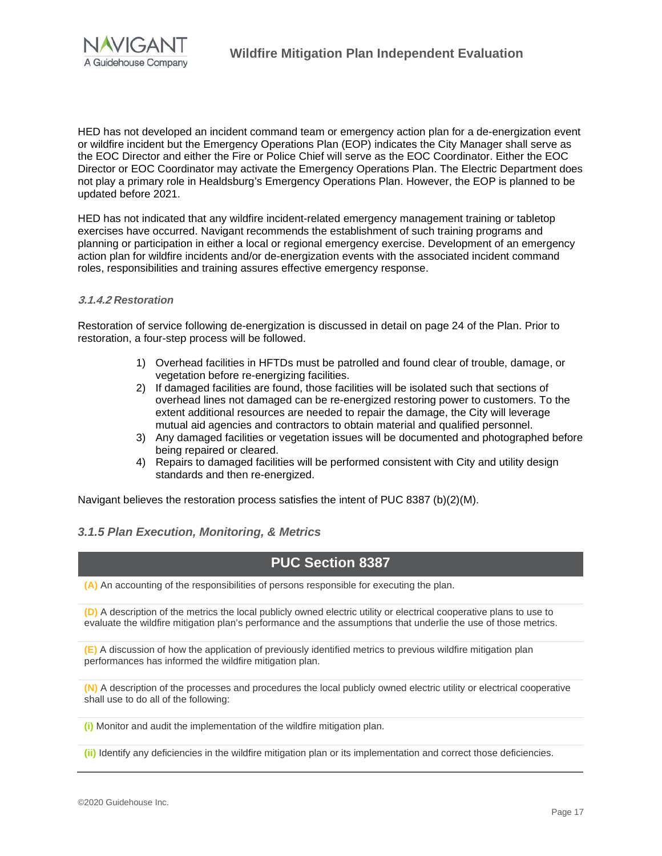

HED has not developed an incident command team or emergency action plan for a de-energization event or wildfire incident but the Emergency Operations Plan (EOP) indicates the City Manager shall serve as the EOC Director and either the Fire or Police Chief will serve as the EOC Coordinator. Either the EOC Director or EOC Coordinator may activate the Emergency Operations Plan. The Electric Department does not play a primary role in Healdsburg's Emergency Operations Plan. However, the EOP is planned to be updated before 2021.

HED has not indicated that any wildfire incident-related emergency management training or tabletop exercises have occurred. Navigant recommends the establishment of such training programs and planning or participation in either a local or regional emergency exercise. Development of an emergency action plan for wildfire incidents and/or de-energization events with the associated incident command roles, responsibilities and training assures effective emergency response.

#### **3.1.4.2** *Restoration*

Restoration of service following de-energization is discussed in detail on page 24 of the Plan. Prior to restoration, a four-step process will be followed.

- 1) Overhead facilities in HFTDs must be patrolled and found clear of trouble, damage, or vegetation before re-energizing facilities.
- 2) If damaged facilities are found, those facilities will be isolated such that sections of overhead lines not damaged can be re-energized restoring power to customers. To the extent additional resources are needed to repair the damage, the City will leverage mutual aid agencies and contractors to obtain material and qualified personnel.
- 3) Any damaged facilities or vegetation issues will be documented and photographed before being repaired or cleared.
- 4) Repairs to damaged facilities will be performed consistent with City and utility design standards and then re-energized.

<span id="page-17-0"></span>Navigant believes the restoration process satisfies the intent of PUC 8387 (b)(2)(M).

#### *3.1.5 Plan Execution, Monitoring, & Metrics*

### **PUC Section 8387**

**(A)** An accounting of the responsibilities of persons responsible for executing the plan.

**(D)** A description of the metrics the local publicly owned electric utility or electrical cooperative plans to use to evaluate the wildfire mitigation plan's performance and the assumptions that underlie the use of those metrics.

**(E)** A discussion of how the application of previously identified metrics to previous wildfire mitigation plan performances has informed the wildfire mitigation plan.

**(N)** A description of the processes and procedures the local publicly owned electric utility or electrical cooperative shall use to do all of the following:

**(i)** Monitor and audit the implementation of the wildfire mitigation plan.

**(ii)** Identify any deficiencies in the wildfire mitigation plan or its implementation and correct those deficiencies.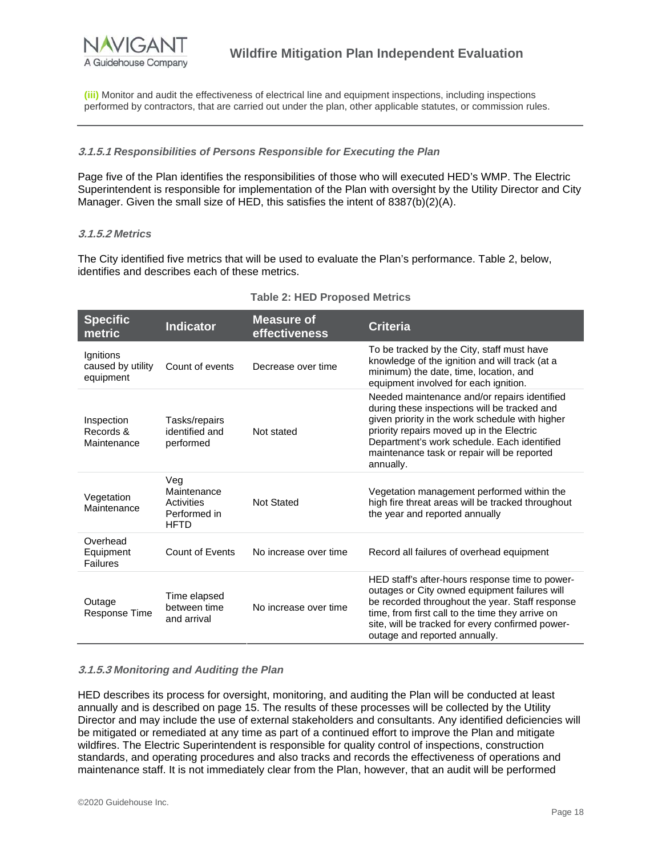

**(iii)** Monitor and audit the effectiveness of electrical line and equipment inspections, including inspections performed by contractors, that are carried out under the plan, other applicable statutes, or commission rules.

#### **3.1.5.1** *Responsibilities of Persons Responsible for Executing the Plan*

Page five of the Plan identifies the responsibilities of those who will executed HED's WMP. The Electric Superintendent is responsible for implementation of the Plan with oversight by the Utility Director and City Manager. Given the small size of HED, this satisfies the intent of  $8387(b)(2)(A)$ .

#### **3.1.5.2** *Metrics*

The City identified five metrics that will be used to evaluate the Plan's performance. Table 2, below, identifies and describes each of these metrics.

| <b>Specific</b><br>metric                   | <b>Indicator</b>                                                | <b>Measure of</b><br>effectiveness | <b>Criteria</b>                                                                                                                                                                                                                                                                                         |
|---------------------------------------------|-----------------------------------------------------------------|------------------------------------|---------------------------------------------------------------------------------------------------------------------------------------------------------------------------------------------------------------------------------------------------------------------------------------------------------|
| lgnitions<br>caused by utility<br>equipment | Count of events                                                 | Decrease over time                 | To be tracked by the City, staff must have<br>knowledge of the ignition and will track (at a<br>minimum) the date, time, location, and<br>equipment involved for each ignition.                                                                                                                         |
| Inspection<br>Records &<br>Maintenance      | Tasks/repairs<br>identified and<br>performed                    | Not stated                         | Needed maintenance and/or repairs identified<br>during these inspections will be tracked and<br>given priority in the work schedule with higher<br>priority repairs moved up in the Electric<br>Department's work schedule. Each identified<br>maintenance task or repair will be reported<br>annually. |
| Vegetation<br>Maintenance                   | Veg<br>Maintenance<br>Activities<br>Performed in<br><b>HFTD</b> | <b>Not Stated</b>                  | Vegetation management performed within the<br>high fire threat areas will be tracked throughout<br>the year and reported annually                                                                                                                                                                       |
| Overhead<br>Equipment<br>Failures           | Count of Events                                                 | No increase over time              | Record all failures of overhead equipment                                                                                                                                                                                                                                                               |
| Outage<br>Response Time                     | Time elapsed<br>between time<br>and arrival                     | No increase over time              | HED staff's after-hours response time to power-<br>outages or City owned equipment failures will<br>be recorded throughout the year. Staff response<br>time, from first call to the time they arrive on<br>site, will be tracked for every confirmed power-<br>outage and reported annually.            |

#### **Table 2: HED Proposed Metrics**

#### **3.1.5.3** *Monitoring and Auditing the Plan*

HED describes its process for oversight, monitoring, and auditing the Plan will be conducted at least annually and is described on page 15. The results of these processes will be collected by the Utility Director and may include the use of external stakeholders and consultants. Any identified deficiencies will be mitigated or remediated at any time as part of a continued effort to improve the Plan and mitigate wildfires. The Electric Superintendent is responsible for quality control of inspections, construction standards, and operating procedures and also tracks and records the effectiveness of operations and maintenance staff. It is not immediately clear from the Plan, however, that an audit will be performed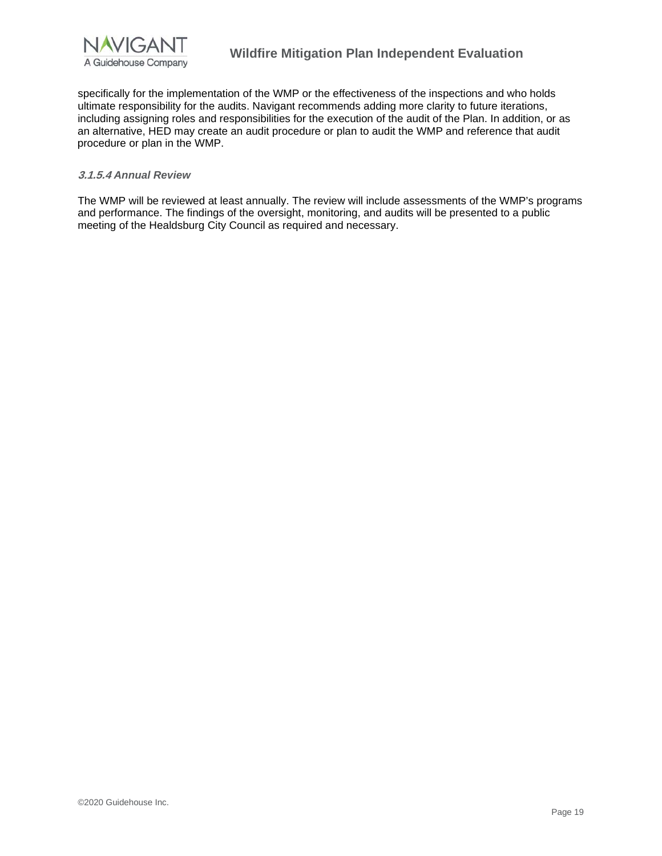

specifically for the implementation of the WMP or the effectiveness of the inspections and who holds ultimate responsibility for the audits. Navigant recommends adding more clarity to future iterations, including assigning roles and responsibilities for the execution of the audit of the Plan. In addition, or as an alternative, HED may create an audit procedure or plan to audit the WMP and reference that audit procedure or plan in the WMP.

#### **3.1.5.4** *Annual Review*

The WMP will be reviewed at least annually. The review will include assessments of the WMP's programs and performance. The findings of the oversight, monitoring, and audits will be presented to a public meeting of the Healdsburg City Council as required and necessary.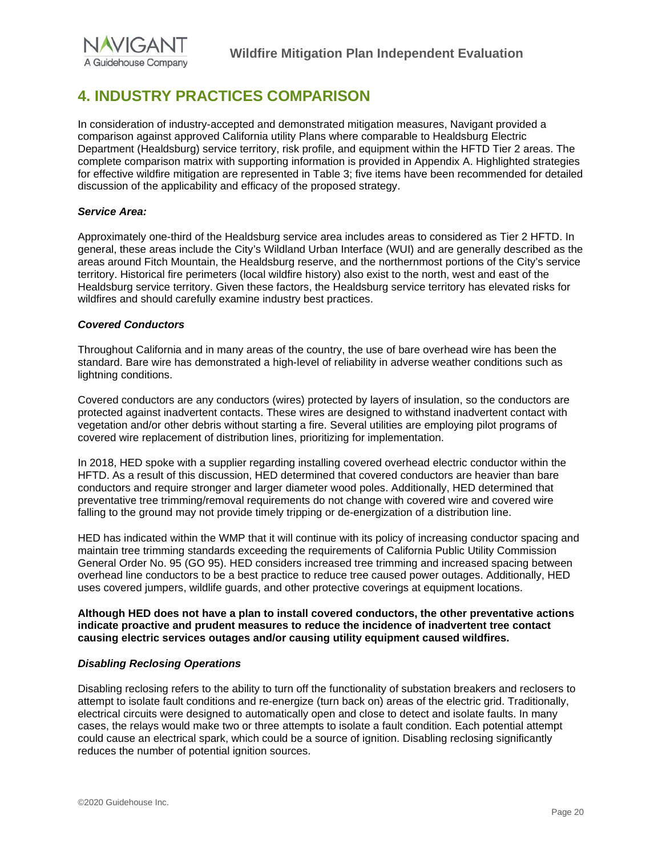

# <span id="page-20-0"></span>**4. INDUSTRY PRACTICES COMPARISON**

In consideration of industry-accepted and demonstrated mitigation measures, Navigant provided a comparison against approved California utility Plans where comparable to Healdsburg Electric Department (Healdsburg) service territory, risk profile, and equipment within the HFTD Tier 2 areas. The complete comparison matrix with supporting information is provided in Appendix A. Highlighted strategies for effective wildfire mitigation are represented in Table 3; five items have been recommended for detailed discussion of the applicability and efficacy of the proposed strategy.

#### *Service Area:*

Approximately one-third of the Healdsburg service area includes areas to considered as Tier 2 HFTD. In general, these areas include the City's Wildland Urban Interface (WUI) and are generally described as the areas around Fitch Mountain, the Healdsburg reserve, and the northernmost portions of the City's service territory. Historical fire perimeters (local wildfire history) also exist to the north, west and east of the Healdsburg service territory. Given these factors, the Healdsburg service territory has elevated risks for wildfires and should carefully examine industry best practices.

#### *Covered Conductors*

Throughout California and in many areas of the country, the use of bare overhead wire has been the standard. Bare wire has demonstrated a high-level of reliability in adverse weather conditions such as lightning conditions.

Covered conductors are any conductors (wires) protected by layers of insulation, so the conductors are protected against inadvertent contacts. These wires are designed to withstand inadvertent contact with vegetation and/or other debris without starting a fire. Several utilities are employing pilot programs of covered wire replacement of distribution lines, prioritizing for implementation.

In 2018, HED spoke with a supplier regarding installing covered overhead electric conductor within the HFTD. As a result of this discussion, HED determined that covered conductors are heavier than bare conductors and require stronger and larger diameter wood poles. Additionally, HED determined that preventative tree trimming/removal requirements do not change with covered wire and covered wire falling to the ground may not provide timely tripping or de-energization of a distribution line.

HED has indicated within the WMP that it will continue with its policy of increasing conductor spacing and maintain tree trimming standards exceeding the requirements of California Public Utility Commission General Order No. 95 (GO 95). HED considers increased tree trimming and increased spacing between overhead line conductors to be a best practice to reduce tree caused power outages. Additionally, HED uses covered jumpers, wildlife guards, and other protective coverings at equipment locations.

**Although HED does not have a plan to install covered conductors, the other preventative actions indicate proactive and prudent measures to reduce the incidence of inadvertent tree contact causing electric services outages and/or causing utility equipment caused wildfires.** 

#### *Disabling Reclosing Operations*

Disabling reclosing refers to the ability to turn off the functionality of substation breakers and reclosers to attempt to isolate fault conditions and re-energize (turn back on) areas of the electric grid. Traditionally, electrical circuits were designed to automatically open and close to detect and isolate faults. In many cases, the relays would make two or three attempts to isolate a fault condition. Each potential attempt could cause an electrical spark, which could be a source of ignition. Disabling reclosing significantly reduces the number of potential ignition sources.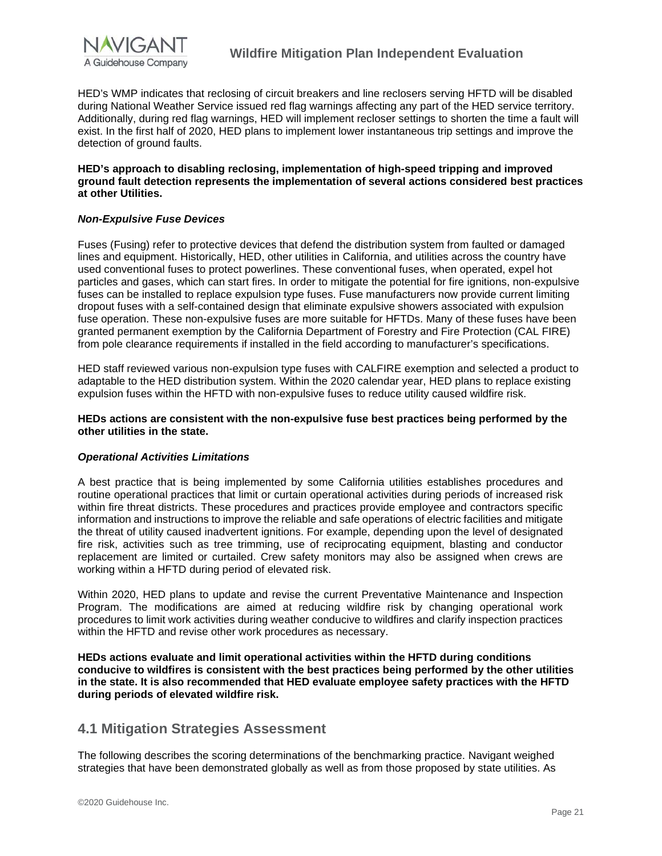

HED's WMP indicates that reclosing of circuit breakers and line reclosers serving HFTD will be disabled during National Weather Service issued red flag warnings affecting any part of the HED service territory. Additionally, during red flag warnings, HED will implement recloser settings to shorten the time a fault will exist. In the first half of 2020, HED plans to implement lower instantaneous trip settings and improve the detection of ground faults.

#### **HED's approach to disabling reclosing, implementation of high-speed tripping and improved ground fault detection represents the implementation of several actions considered best practices at other Utilities.**

#### *Non-Expulsive Fuse Devices*

Fuses (Fusing) refer to protective devices that defend the distribution system from faulted or damaged lines and equipment. Historically, HED, other utilities in California, and utilities across the country have used conventional fuses to protect powerlines. These conventional fuses, when operated, expel hot particles and gases, which can start fires. In order to mitigate the potential for fire ignitions, non-expulsive fuses can be installed to replace expulsion type fuses. Fuse manufacturers now provide current limiting dropout fuses with a self-contained design that eliminate expulsive showers associated with expulsion fuse operation. These non-expulsive fuses are more suitable for HFTDs. Many of these fuses have been granted permanent exemption by the California Department of Forestry and Fire Protection (CAL FIRE) from pole clearance requirements if installed in the field according to manufacturer's specifications.

HED staff reviewed various non-expulsion type fuses with CALFIRE exemption and selected a product to adaptable to the HED distribution system. Within the 2020 calendar year, HED plans to replace existing expulsion fuses within the HFTD with non-expulsive fuses to reduce utility caused wildfire risk.

#### **HEDs actions are consistent with the non-expulsive fuse best practices being performed by the other utilities in the state.**

#### *Operational Activities Limitations*

A best practice that is being implemented by some California utilities establishes procedures and routine operational practices that limit or curtain operational activities during periods of increased risk within fire threat districts. These procedures and practices provide employee and contractors specific information and instructions to improve the reliable and safe operations of electric facilities and mitigate the threat of utility caused inadvertent ignitions. For example, depending upon the level of designated fire risk, activities such as tree trimming, use of reciprocating equipment, blasting and conductor replacement are limited or curtailed. Crew safety monitors may also be assigned when crews are working within a HFTD during period of elevated risk.

Within 2020, HED plans to update and revise the current Preventative Maintenance and Inspection Program. The modifications are aimed at reducing wildfire risk by changing operational work procedures to limit work activities during weather conducive to wildfires and clarify inspection practices within the HFTD and revise other work procedures as necessary.

**HEDs actions evaluate and limit operational activities within the HFTD during conditions conducive to wildfires is consistent with the best practices being performed by the other utilities in the state. It is also recommended that HED evaluate employee safety practices with the HFTD during periods of elevated wildfire risk.** 

### <span id="page-21-0"></span>**4.1 Mitigation Strategies Assessment**

The following describes the scoring determinations of the benchmarking practice. Navigant weighed strategies that have been demonstrated globally as well as from those proposed by state utilities. As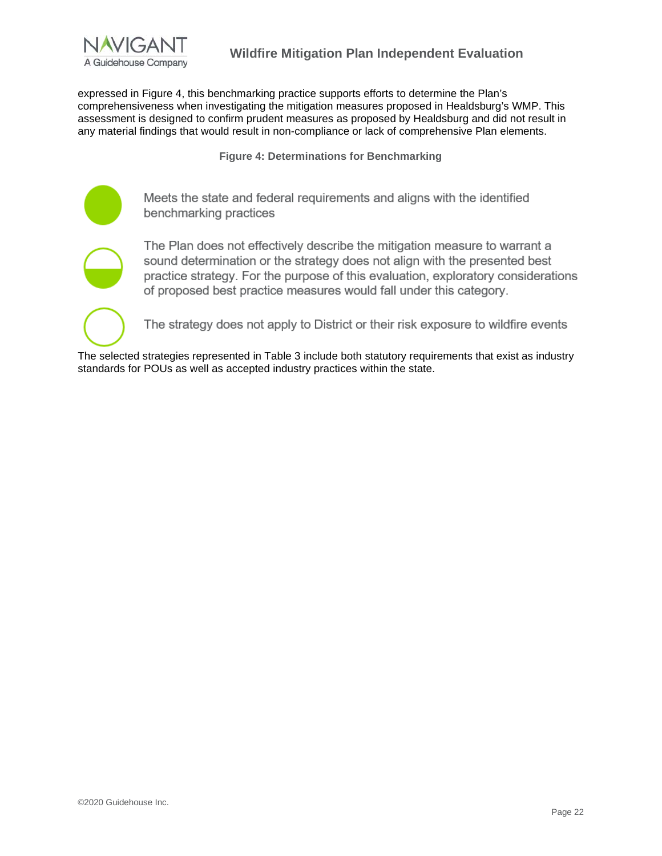

expressed in Figure 4, this benchmarking practice supports efforts to determine the Plan's comprehensiveness when investigating the mitigation measures proposed in Healdsburg's WMP. This assessment is designed to confirm prudent measures as proposed by Healdsburg and did not result in any material findings that would result in non-compliance or lack of comprehensive Plan elements.

**Figure 4: Determinations for Benchmarking**

Meets the state and federal requirements and aligns with the identified benchmarking practices

The Plan does not effectively describe the mitigation measure to warrant a sound determination or the strategy does not align with the presented best practice strategy. For the purpose of this evaluation, exploratory considerations of proposed best practice measures would fall under this category.

The strategy does not apply to District or their risk exposure to wildfire events

The selected strategies represented in Table 3 include both statutory requirements that exist as industry standards for POUs as well as accepted industry practices within the state.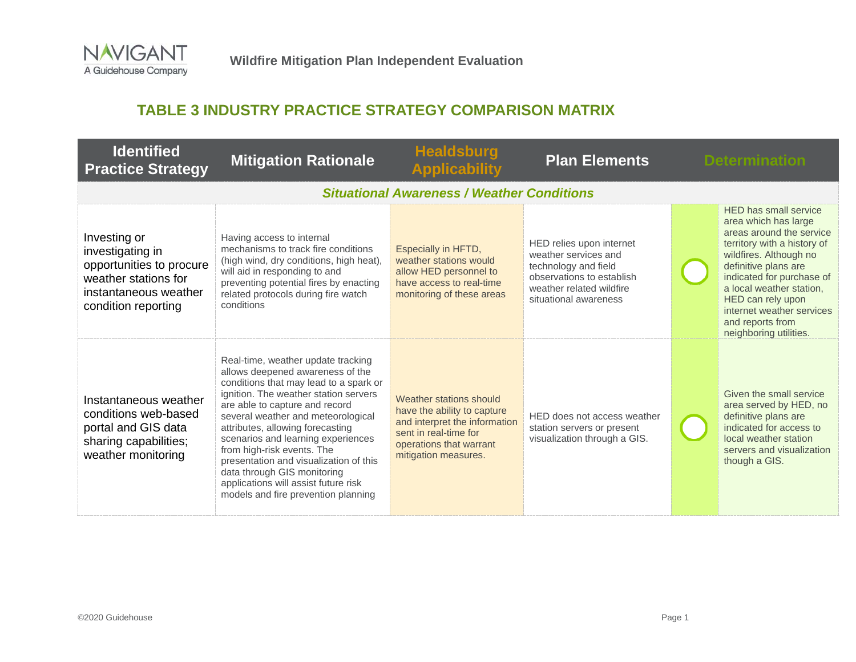

# **TABLE 3 INDUSTRY PRACTICE STRATEGY COMPARISON MATRIX**

<span id="page-23-0"></span>

| <b>Identified</b><br><b>Practice Strategy</b>                                                                                        | <b>Mitigation Rationale</b>                                                                                                                                                                                                                                                                                                                                                                                                                                                                       | <b>Healdsburg</b><br><b>Applicability</b>                                                                                                                           | <b>Plan Elements</b>                                                                                                                                       | <b>Determination</b>                                                                                                                                                                                                                                                                                                       |  |
|--------------------------------------------------------------------------------------------------------------------------------------|---------------------------------------------------------------------------------------------------------------------------------------------------------------------------------------------------------------------------------------------------------------------------------------------------------------------------------------------------------------------------------------------------------------------------------------------------------------------------------------------------|---------------------------------------------------------------------------------------------------------------------------------------------------------------------|------------------------------------------------------------------------------------------------------------------------------------------------------------|----------------------------------------------------------------------------------------------------------------------------------------------------------------------------------------------------------------------------------------------------------------------------------------------------------------------------|--|
|                                                                                                                                      |                                                                                                                                                                                                                                                                                                                                                                                                                                                                                                   | <b>Situational Awareness / Weather Conditions</b>                                                                                                                   |                                                                                                                                                            |                                                                                                                                                                                                                                                                                                                            |  |
| Investing or<br>investigating in<br>opportunities to procure<br>weather stations for<br>instantaneous weather<br>condition reporting | Having access to internal<br>mechanisms to track fire conditions<br>(high wind, dry conditions, high heat),<br>will aid in responding to and<br>preventing potential fires by enacting<br>related protocols during fire watch<br>conditions                                                                                                                                                                                                                                                       | Especially in HFTD,<br>weather stations would<br>allow HED personnel to<br>have access to real-time<br>monitoring of these areas                                    | HED relies upon internet<br>weather services and<br>technology and field<br>observations to establish<br>weather related wildfire<br>situational awareness | <b>HED has small service</b><br>area which has large<br>areas around the service<br>territory with a history of<br>wildfires. Although no<br>definitive plans are<br>indicated for purchase of<br>a local weather station,<br>HED can rely upon<br>internet weather services<br>and reports from<br>neighboring utilities. |  |
| Instantaneous weather<br>conditions web-based<br>portal and GIS data<br>sharing capabilities;<br>weather monitoring                  | Real-time, weather update tracking<br>allows deepened awareness of the<br>conditions that may lead to a spark or<br>ignition. The weather station servers<br>are able to capture and record<br>several weather and meteorological<br>attributes, allowing forecasting<br>scenarios and learning experiences<br>from high-risk events. The<br>presentation and visualization of this<br>data through GIS monitoring<br>applications will assist future risk<br>models and fire prevention planning | Weather stations should<br>have the ability to capture<br>and interpret the information<br>sent in real-time for<br>operations that warrant<br>mitigation measures. | HED does not access weather<br>station servers or present<br>visualization through a GIS.                                                                  | Given the small service<br>area served by HED, no<br>definitive plans are<br>indicated for access to<br>local weather station<br>servers and visualization<br>though a GIS.                                                                                                                                                |  |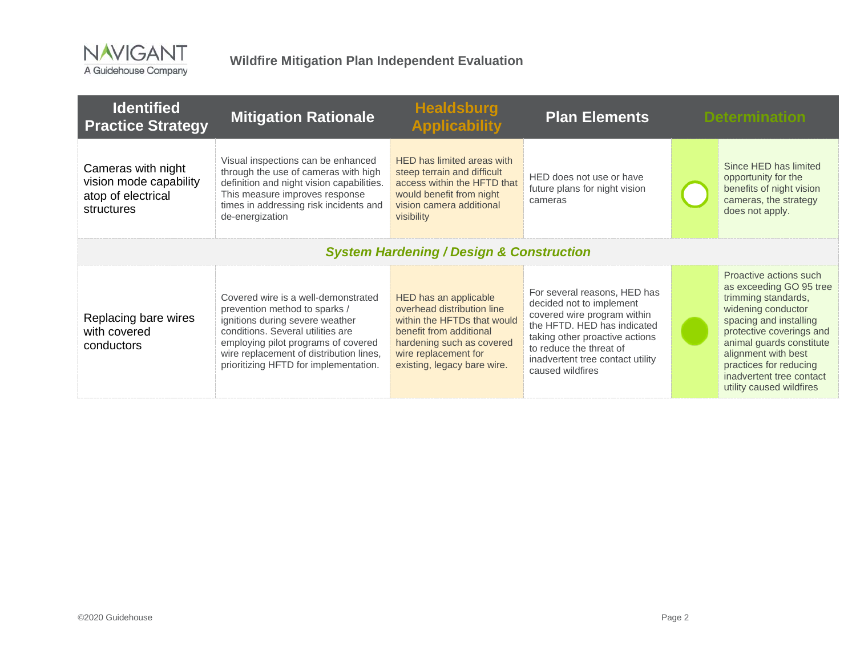

| <b>Identified</b><br><b>Practice Strategy</b>                                    | <b>Mitigation Rationale</b>                                                                                                                                                                                                                                             | <b>Healdsburg</b><br><b>Applicability</b>                                                                                                                                                         | <b>Plan Elements</b>                                                                                                                                                                                                                        | <b>Determination</b>                                                                                                                                                                                                                                                                      |
|----------------------------------------------------------------------------------|-------------------------------------------------------------------------------------------------------------------------------------------------------------------------------------------------------------------------------------------------------------------------|---------------------------------------------------------------------------------------------------------------------------------------------------------------------------------------------------|---------------------------------------------------------------------------------------------------------------------------------------------------------------------------------------------------------------------------------------------|-------------------------------------------------------------------------------------------------------------------------------------------------------------------------------------------------------------------------------------------------------------------------------------------|
| Cameras with night<br>vision mode capability<br>atop of electrical<br>structures | Visual inspections can be enhanced<br>through the use of cameras with high<br>definition and night vision capabilities.<br>This measure improves response<br>times in addressing risk incidents and<br>de-energization                                                  | HED has limited areas with<br>steep terrain and difficult<br>access within the HFTD that<br>would benefit from night<br>vision camera additional<br>visibility                                    | HED does not use or have<br>future plans for night vision<br>cameras                                                                                                                                                                        | Since HED has limited<br>opportunity for the<br>benefits of night vision<br>cameras, the strategy<br>does not apply.                                                                                                                                                                      |
|                                                                                  |                                                                                                                                                                                                                                                                         | <b>System Hardening / Design &amp; Construction</b>                                                                                                                                               |                                                                                                                                                                                                                                             |                                                                                                                                                                                                                                                                                           |
| Replacing bare wires<br>with covered<br>conductors                               | Covered wire is a well-demonstrated<br>prevention method to sparks /<br>ignitions during severe weather<br>conditions. Several utilities are<br>employing pilot programs of covered<br>wire replacement of distribution lines,<br>prioritizing HFTD for implementation. | HED has an applicable<br>overhead distribution line<br>within the HFTDs that would<br>benefit from additional<br>hardening such as covered<br>wire replacement for<br>existing, legacy bare wire. | For several reasons, HED has<br>decided not to implement<br>covered wire program within<br>the HFTD. HED has indicated<br>taking other proactive actions<br>to reduce the threat of<br>inadvertent tree contact utility<br>caused wildfires | Proactive actions such<br>as exceeding GO 95 tree<br>trimming standards,<br>widening conductor<br>spacing and installing<br>protective coverings and<br>animal guards constitute<br>alignment with best<br>practices for reducing<br>inadvertent tree contact<br>utility caused wildfires |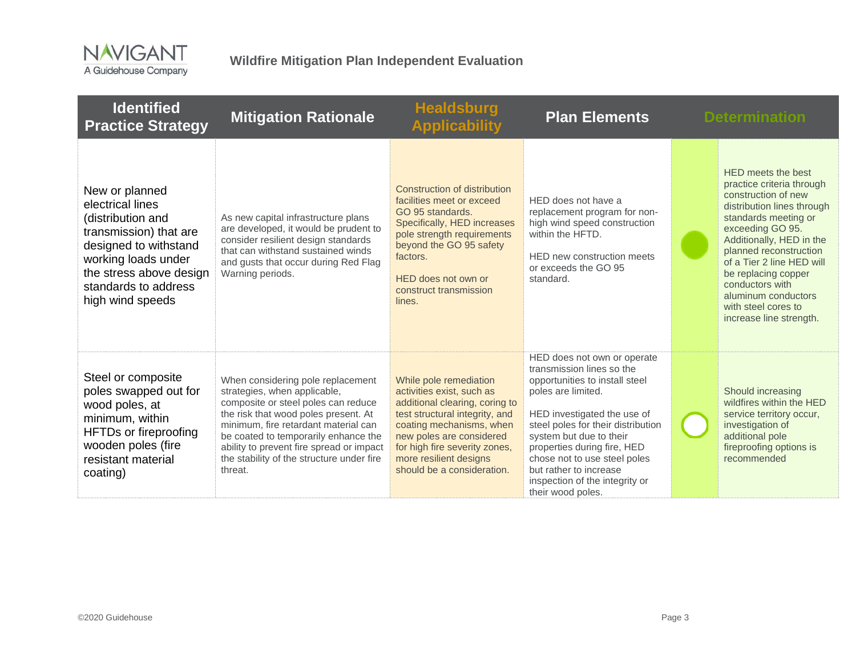

| <b>Identified</b><br><b>Practice Strategy</b>                                                                                                                                                            | <b>Mitigation Rationale</b>                                                                                                                                                                                                                                                                                                          | <b>Healdsburg</b><br><b>Applicability</b>                                                                                                                                                                                                                                | <b>Plan Elements</b>                                                                                                                                                                                                                                                                                                                                             | <b>Determination</b>                                                                                                                                                                                                                                                                                                                                   |
|----------------------------------------------------------------------------------------------------------------------------------------------------------------------------------------------------------|--------------------------------------------------------------------------------------------------------------------------------------------------------------------------------------------------------------------------------------------------------------------------------------------------------------------------------------|--------------------------------------------------------------------------------------------------------------------------------------------------------------------------------------------------------------------------------------------------------------------------|------------------------------------------------------------------------------------------------------------------------------------------------------------------------------------------------------------------------------------------------------------------------------------------------------------------------------------------------------------------|--------------------------------------------------------------------------------------------------------------------------------------------------------------------------------------------------------------------------------------------------------------------------------------------------------------------------------------------------------|
| New or planned<br>electrical lines<br>(distribution and<br>transmission) that are<br>designed to withstand<br>working loads under<br>the stress above design<br>standards to address<br>high wind speeds | As new capital infrastructure plans<br>are developed, it would be prudent to<br>consider resilient design standards<br>that can withstand sustained winds<br>and gusts that occur during Red Flag<br>Warning periods.                                                                                                                | Construction of distribution<br>facilities meet or exceed<br>GO 95 standards.<br>Specifically, HED increases<br>pole strength requirements<br>beyond the GO 95 safety<br>factors.<br>HED does not own or<br>construct transmission<br>lines.                             | HED does not have a<br>replacement program for non-<br>high wind speed construction<br>within the HFTD.<br>HED new construction meets<br>or exceeds the GO 95<br>standard.                                                                                                                                                                                       | HED meets the best<br>practice criteria through<br>construction of new<br>distribution lines through<br>standards meeting or<br>exceeding GO 95.<br>Additionally, HED in the<br>planned reconstruction<br>of a Tier 2 line HED will<br>be replacing copper<br>conductors with<br>aluminum conductors<br>with steel cores to<br>increase line strength. |
| Steel or composite<br>poles swapped out for<br>wood poles, at<br>minimum, within<br><b>HFTDs or fireproofing</b><br>wooden poles (fire<br>resistant material<br>coating)                                 | When considering pole replacement<br>strategies, when applicable,<br>composite or steel poles can reduce<br>the risk that wood poles present. At<br>minimum, fire retardant material can<br>be coated to temporarily enhance the<br>ability to prevent fire spread or impact<br>the stability of the structure under fire<br>threat. | While pole remediation<br>activities exist, such as<br>additional clearing, coring to<br>test structural integrity, and<br>coating mechanisms, when<br>new poles are considered<br>for high fire severity zones,<br>more resilient designs<br>should be a consideration. | HED does not own or operate<br>transmission lines so the<br>opportunities to install steel<br>poles are limited.<br>HED investigated the use of<br>steel poles for their distribution<br>system but due to their<br>properties during fire, HED<br>chose not to use steel poles<br>but rather to increase<br>inspection of the integrity or<br>their wood poles. | Should increasing<br>wildfires within the HED<br>service territory occur,<br>investigation of<br>additional pole<br>fireproofing options is<br>recommended                                                                                                                                                                                             |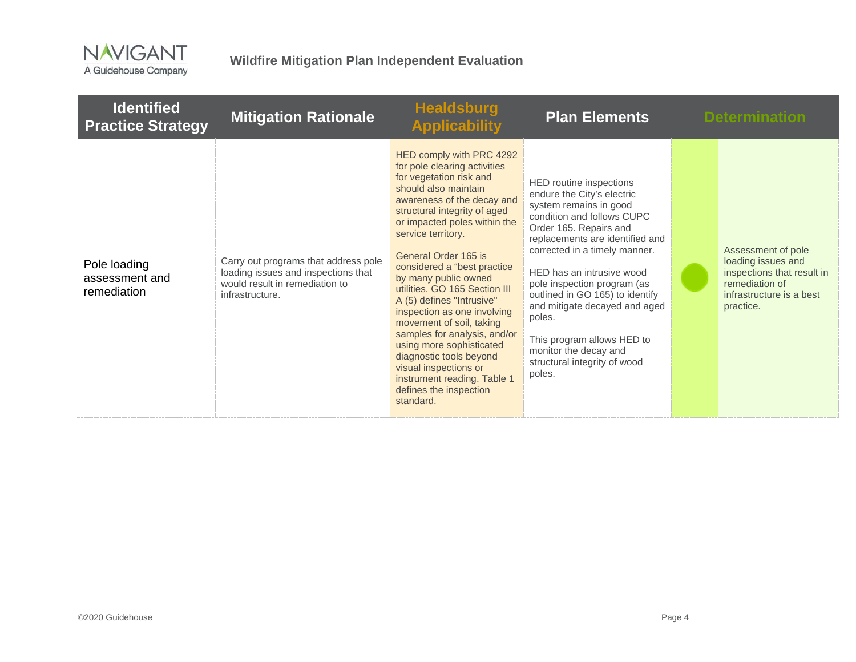

| <b>Identified</b><br><b>Practice Strategy</b> | <b>Mitigation Rationale</b>                                                                                                      | <b>Healdsburg</b><br><b>Applicability</b>                                                                                                                                                                                                                                                                                                                                                                                                                                                                                                                                                                                      | <b>Plan Elements</b>                                                                                                                                                                                                                                                                                                                                                                                                                                   | <b>Determination</b>                                                                                                              |
|-----------------------------------------------|----------------------------------------------------------------------------------------------------------------------------------|--------------------------------------------------------------------------------------------------------------------------------------------------------------------------------------------------------------------------------------------------------------------------------------------------------------------------------------------------------------------------------------------------------------------------------------------------------------------------------------------------------------------------------------------------------------------------------------------------------------------------------|--------------------------------------------------------------------------------------------------------------------------------------------------------------------------------------------------------------------------------------------------------------------------------------------------------------------------------------------------------------------------------------------------------------------------------------------------------|-----------------------------------------------------------------------------------------------------------------------------------|
| Pole loading<br>assessment and<br>remediation | Carry out programs that address pole<br>loading issues and inspections that<br>would result in remediation to<br>infrastructure. | HED comply with PRC 4292<br>for pole clearing activities<br>for vegetation risk and<br>should also maintain<br>awareness of the decay and<br>structural integrity of aged<br>or impacted poles within the<br>service territory.<br>General Order 165 is<br>considered a "best practice"<br>by many public owned<br>utilities. GO 165 Section III<br>A (5) defines "Intrusive"<br>inspection as one involving<br>movement of soil, taking<br>samples for analysis, and/or<br>using more sophisticated<br>diagnostic tools beyond<br>visual inspections or<br>instrument reading. Table 1<br>defines the inspection<br>standard. | HED routine inspections<br>endure the City's electric<br>system remains in good<br>condition and follows CUPC<br>Order 165. Repairs and<br>replacements are identified and<br>corrected in a timely manner.<br>HED has an intrusive wood<br>pole inspection program (as<br>outlined in GO 165) to identify<br>and mitigate decayed and aged<br>poles.<br>This program allows HED to<br>monitor the decay and<br>structural integrity of wood<br>poles. | Assessment of pole<br>loading issues and<br>inspections that result in<br>remediation of<br>infrastructure is a best<br>practice. |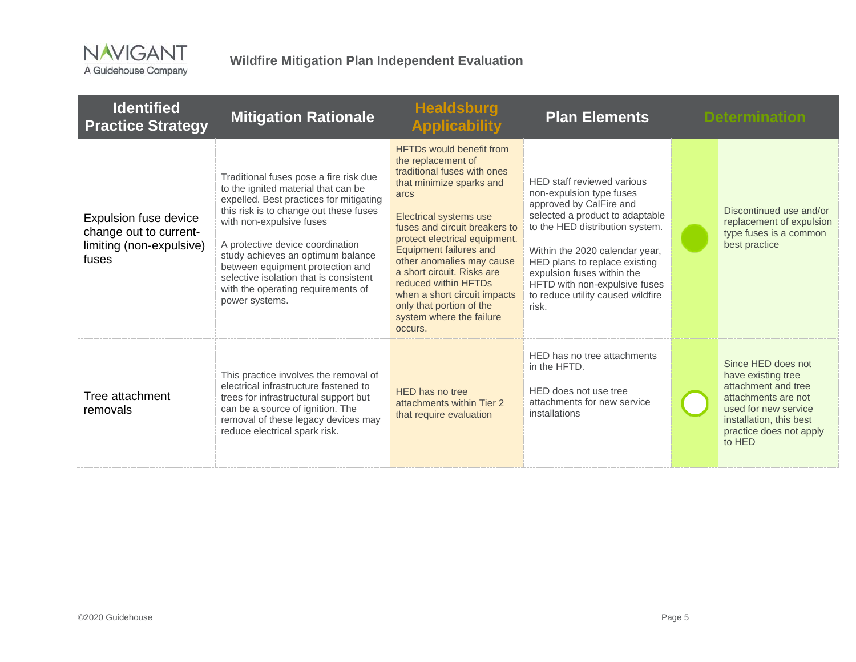

| <b>Identified</b><br><b>Practice Strategy</b>                                        | <b>Mitigation Rationale</b>                                                                                                                                                                                                                                                                                                                                                                                   | <b>Healdsburg</b><br><b>Applicability</b>                                                                                                                                                                                                                                                                                                                                                                                                   | <b>Plan Elements</b>                                                                                                                                                                                                                                                                                                                    | <b>Determination</b>                                                                                                                                                           |
|--------------------------------------------------------------------------------------|---------------------------------------------------------------------------------------------------------------------------------------------------------------------------------------------------------------------------------------------------------------------------------------------------------------------------------------------------------------------------------------------------------------|---------------------------------------------------------------------------------------------------------------------------------------------------------------------------------------------------------------------------------------------------------------------------------------------------------------------------------------------------------------------------------------------------------------------------------------------|-----------------------------------------------------------------------------------------------------------------------------------------------------------------------------------------------------------------------------------------------------------------------------------------------------------------------------------------|--------------------------------------------------------------------------------------------------------------------------------------------------------------------------------|
| Expulsion fuse device<br>change out to current-<br>limiting (non-expulsive)<br>fuses | Traditional fuses pose a fire risk due<br>to the ignited material that can be<br>expelled. Best practices for mitigating<br>this risk is to change out these fuses<br>with non-expulsive fuses<br>A protective device coordination<br>study achieves an optimum balance<br>between equipment protection and<br>selective isolation that is consistent<br>with the operating requirements of<br>power systems. | <b>HFTDs would benefit from</b><br>the replacement of<br>traditional fuses with ones<br>that minimize sparks and<br>arcs<br>Electrical systems use<br>fuses and circuit breakers to<br>protect electrical equipment.<br><b>Equipment failures and</b><br>other anomalies may cause<br>a short circuit. Risks are<br>reduced within HFTDs<br>when a short circuit impacts<br>only that portion of the<br>system where the failure<br>occurs. | HED staff reviewed various<br>non-expulsion type fuses<br>approved by CalFire and<br>selected a product to adaptable<br>to the HED distribution system.<br>Within the 2020 calendar year,<br>HED plans to replace existing<br>expulsion fuses within the<br>HFTD with non-expulsive fuses<br>to reduce utility caused wildfire<br>risk. | Discontinued use and/or<br>replacement of expulsion<br>type fuses is a common<br>best practice                                                                                 |
| Tree attachment<br>removals                                                          | This practice involves the removal of<br>electrical infrastructure fastened to<br>trees for infrastructural support but<br>can be a source of ignition. The<br>removal of these legacy devices may<br>reduce electrical spark risk.                                                                                                                                                                           | HED has no tree<br>attachments within Tier 2<br>that require evaluation                                                                                                                                                                                                                                                                                                                                                                     | HED has no tree attachments<br>in the HFTD.<br>HED does not use tree<br>attachments for new service<br>installations                                                                                                                                                                                                                    | Since HED does not<br>have existing tree<br>attachment and tree<br>attachments are not<br>used for new service<br>installation, this best<br>practice does not apply<br>to HED |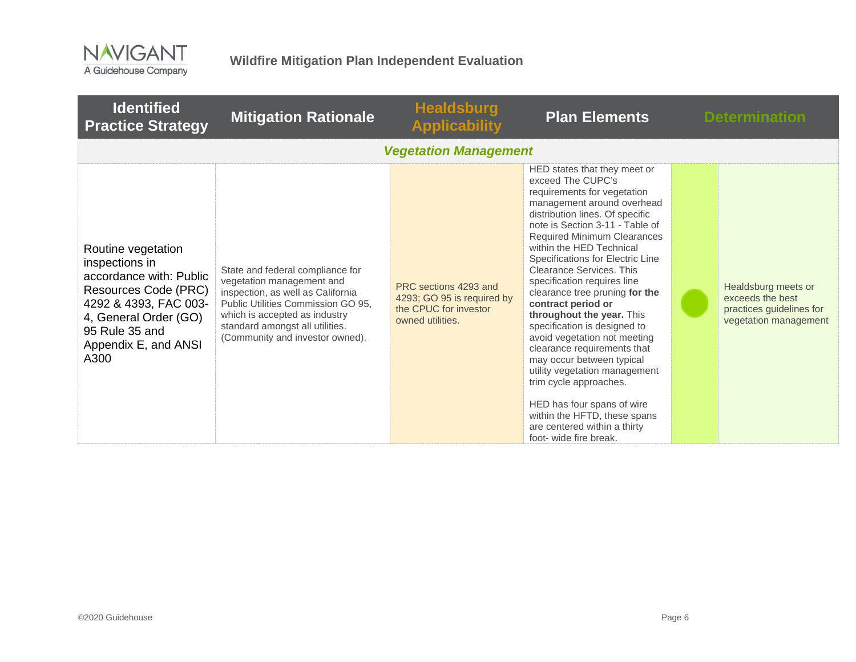

| <b>Identified</b><br><b>Practice Strategy</b>                                                                                                                                               | <b>Mitigation Rationale</b>                                                                                                                                                                                                                     | <b>Healdsburg</b><br><b>Applicability</b>                                                        | <b>Plan Elements</b>                                                                                                                                                                                                                                                                                                                                                                                                                                                                                                                                                                                                                                                                                                                                      | <b>Determination</b>                                                                         |
|---------------------------------------------------------------------------------------------------------------------------------------------------------------------------------------------|-------------------------------------------------------------------------------------------------------------------------------------------------------------------------------------------------------------------------------------------------|--------------------------------------------------------------------------------------------------|-----------------------------------------------------------------------------------------------------------------------------------------------------------------------------------------------------------------------------------------------------------------------------------------------------------------------------------------------------------------------------------------------------------------------------------------------------------------------------------------------------------------------------------------------------------------------------------------------------------------------------------------------------------------------------------------------------------------------------------------------------------|----------------------------------------------------------------------------------------------|
|                                                                                                                                                                                             |                                                                                                                                                                                                                                                 | <b>Vegetation Management</b>                                                                     |                                                                                                                                                                                                                                                                                                                                                                                                                                                                                                                                                                                                                                                                                                                                                           |                                                                                              |
| Routine vegetation<br>inspections in<br>accordance with: Public<br>Resources Code (PRC)<br>4292 & 4393, FAC 003-<br>4, General Order (GO)<br>95 Rule 35 and<br>Appendix E, and ANSI<br>A300 | State and federal compliance for<br>vegetation management and<br>inspection, as well as California<br>Public Utilities Commission GO 95.<br>which is accepted as industry<br>standard amongst all utilities.<br>(Community and investor owned). | PRC sections 4293 and<br>4293; GO 95 is required by<br>the CPUC for investor<br>owned utilities. | HED states that they meet or<br>exceed The CUPC's<br>requirements for vegetation<br>management around overhead<br>distribution lines. Of specific<br>note is Section 3-11 - Table of<br><b>Required Minimum Clearances</b><br>within the HED Technical<br>Specifications for Electric Line<br>Clearance Services. This<br>specification requires line<br>clearance tree pruning for the<br>contract period or<br>throughout the year. This<br>specification is designed to<br>avoid vegetation not meeting<br>clearance requirements that<br>may occur between typical<br>utility vegetation management<br>trim cycle approaches.<br>HED has four spans of wire<br>within the HFTD, these spans<br>are centered within a thirty<br>foot- wide fire break. | Healdsburg meets or<br>exceeds the best<br>practices guidelines for<br>vegetation management |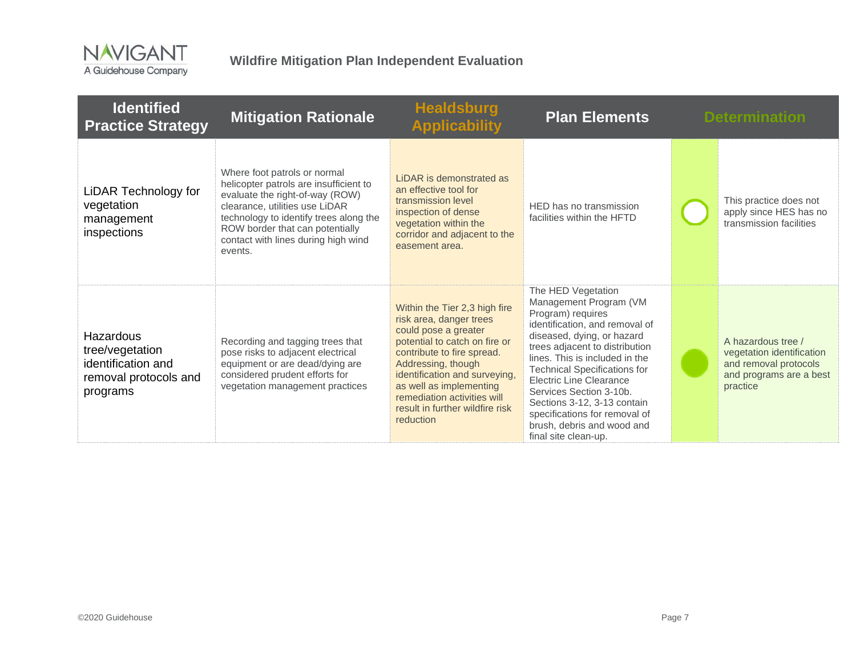

| <b>Identified</b><br><b>Practice Strategy</b>                                           | <b>Mitigation Rationale</b>                                                                                                                                                                                                                                                | <b>Healdsburg</b><br><b>Applicability</b>                                                                                                                                                                                                                                                                        | <b>Plan Elements</b>                                                                                                                                                                                                                                                                                                                                                                                                            | <b>Determination</b>                                                                                            |
|-----------------------------------------------------------------------------------------|----------------------------------------------------------------------------------------------------------------------------------------------------------------------------------------------------------------------------------------------------------------------------|------------------------------------------------------------------------------------------------------------------------------------------------------------------------------------------------------------------------------------------------------------------------------------------------------------------|---------------------------------------------------------------------------------------------------------------------------------------------------------------------------------------------------------------------------------------------------------------------------------------------------------------------------------------------------------------------------------------------------------------------------------|-----------------------------------------------------------------------------------------------------------------|
| LiDAR Technology for<br>vegetation<br>management<br>inspections                         | Where foot patrols or normal<br>helicopter patrols are insufficient to<br>evaluate the right-of-way (ROW)<br>clearance, utilities use LiDAR<br>technology to identify trees along the<br>ROW border that can potentially<br>contact with lines during high wind<br>events. | LIDAR is demonstrated as<br>an effective tool for<br>transmission level<br>inspection of dense<br>vegetation within the<br>corridor and adjacent to the<br>easement area.                                                                                                                                        | HED has no transmission<br>facilities within the HFTD                                                                                                                                                                                                                                                                                                                                                                           | This practice does not<br>apply since HES has no<br>transmission facilities                                     |
| Hazardous<br>tree/vegetation<br>identification and<br>removal protocols and<br>programs | Recording and tagging trees that<br>pose risks to adjacent electrical<br>equipment or are dead/dying are<br>considered prudent efforts for<br>vegetation management practices                                                                                              | Within the Tier 2,3 high fire<br>risk area, danger trees<br>could pose a greater<br>potential to catch on fire or<br>contribute to fire spread.<br>Addressing, though<br>identification and surveying,<br>as well as implementing<br>remediation activities will<br>result in further wildfire risk<br>reduction | The HED Vegetation<br>Management Program (VM<br>Program) requires<br>identification, and removal of<br>diseased, dying, or hazard<br>trees adjacent to distribution<br>lines. This is included in the<br><b>Technical Specifications for</b><br><b>Electric Line Clearance</b><br>Services Section 3-10b.<br>Sections 3-12, 3-13 contain<br>specifications for removal of<br>brush, debris and wood and<br>final site clean-up. | A hazardous tree /<br>vegetation identification<br>and removal protocols<br>and programs are a best<br>practice |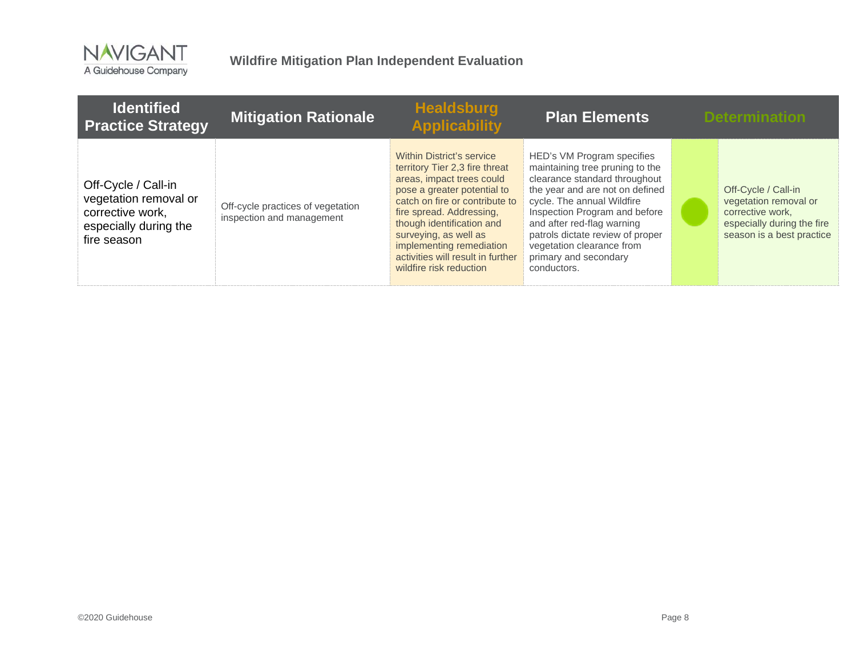

| <b>Identified</b><br><b>Practice Strategy</b>                                                            | <b>Mitigation Rationale</b>                                    | <b>Healdsburg</b><br><b>Applicability</b>                                                                                                                                                                                                                                                                                               | <b>Plan Elements</b>                                                                                                                                                                                                                                                                                                                    | <b>Determination</b>                                                                                                        |
|----------------------------------------------------------------------------------------------------------|----------------------------------------------------------------|-----------------------------------------------------------------------------------------------------------------------------------------------------------------------------------------------------------------------------------------------------------------------------------------------------------------------------------------|-----------------------------------------------------------------------------------------------------------------------------------------------------------------------------------------------------------------------------------------------------------------------------------------------------------------------------------------|-----------------------------------------------------------------------------------------------------------------------------|
| Off-Cycle / Call-in<br>vegetation removal or<br>corrective work,<br>especially during the<br>fire season | Off-cycle practices of vegetation<br>inspection and management | Within District's service<br>territory Tier 2,3 fire threat<br>areas, impact trees could<br>pose a greater potential to<br>catch on fire or contribute to<br>fire spread. Addressing,<br>though identification and<br>surveying, as well as<br>implementing remediation<br>activities will result in further<br>wildfire risk reduction | HED's VM Program specifies<br>maintaining tree pruning to the<br>clearance standard throughout<br>the year and are not on defined<br>cycle. The annual Wildfire<br>Inspection Program and before<br>and after red-flag warning<br>patrols dictate review of proper<br>vegetation clearance from<br>primary and secondary<br>conductors. | Off-Cycle / Call-in<br>vegetation removal or<br>corrective work,<br>especially during the fire<br>season is a best practice |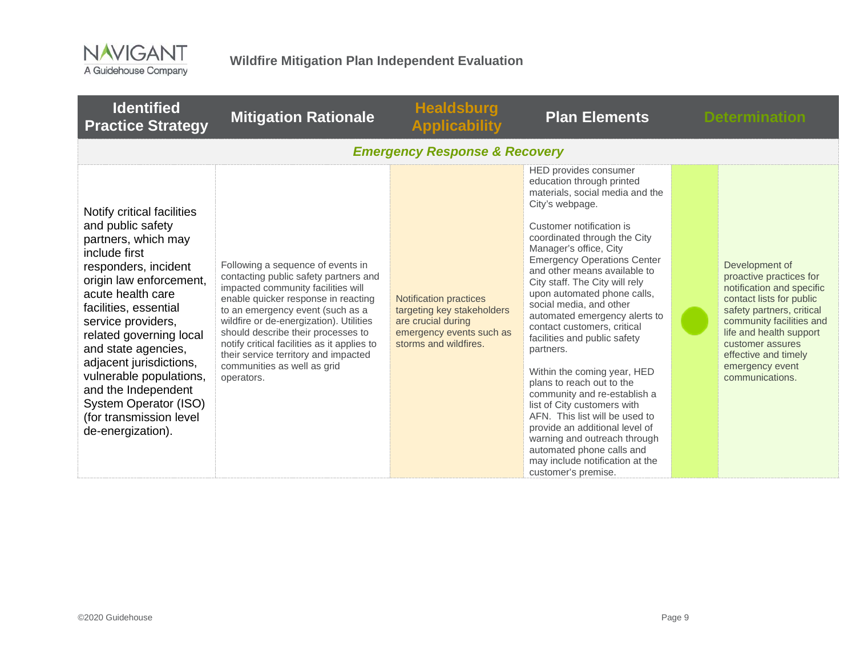

| <b>Identified</b><br><b>Practice Strategy</b>                                                                                                                                                                                                                                                                                                                                                                          | <b>Mitigation Rationale</b>                                                                                                                                                                                                                                                                                                                                                                                      | <b>Healdsburg</b><br><b>Applicability</b>                                                                                              | <b>Plan Elements</b>                                                                                                                                                                                                                                                                                                                                                                                                                                                                                                                                                                                                                                                                                                                                                                                | <b>Determination</b>                                                                                                                                                                                                                                                     |
|------------------------------------------------------------------------------------------------------------------------------------------------------------------------------------------------------------------------------------------------------------------------------------------------------------------------------------------------------------------------------------------------------------------------|------------------------------------------------------------------------------------------------------------------------------------------------------------------------------------------------------------------------------------------------------------------------------------------------------------------------------------------------------------------------------------------------------------------|----------------------------------------------------------------------------------------------------------------------------------------|-----------------------------------------------------------------------------------------------------------------------------------------------------------------------------------------------------------------------------------------------------------------------------------------------------------------------------------------------------------------------------------------------------------------------------------------------------------------------------------------------------------------------------------------------------------------------------------------------------------------------------------------------------------------------------------------------------------------------------------------------------------------------------------------------------|--------------------------------------------------------------------------------------------------------------------------------------------------------------------------------------------------------------------------------------------------------------------------|
|                                                                                                                                                                                                                                                                                                                                                                                                                        |                                                                                                                                                                                                                                                                                                                                                                                                                  | <b>Emergency Response &amp; Recovery</b>                                                                                               |                                                                                                                                                                                                                                                                                                                                                                                                                                                                                                                                                                                                                                                                                                                                                                                                     |                                                                                                                                                                                                                                                                          |
| Notify critical facilities<br>and public safety<br>partners, which may<br>include first<br>responders, incident<br>origin law enforcement,<br>acute health care<br>facilities, essential<br>service providers,<br>related governing local<br>and state agencies,<br>adjacent jurisdictions,<br>vulnerable populations,<br>and the Independent<br>System Operator (ISO)<br>(for transmission level<br>de-energization). | Following a sequence of events in<br>contacting public safety partners and<br>impacted community facilities will<br>enable quicker response in reacting<br>to an emergency event (such as a<br>wildfire or de-energization). Utilities<br>should describe their processes to<br>notify critical facilities as it applies to<br>their service territory and impacted<br>communities as well as grid<br>operators. | <b>Notification practices</b><br>targeting key stakeholders<br>are crucial during<br>emergency events such as<br>storms and wildfires. | HED provides consumer<br>education through printed<br>materials, social media and the<br>City's webpage.<br>Customer notification is<br>coordinated through the City<br>Manager's office, City<br><b>Emergency Operations Center</b><br>and other means available to<br>City staff. The City will rely<br>upon automated phone calls,<br>social media, and other<br>automated emergency alerts to<br>contact customers, critical<br>facilities and public safety<br>partners.<br>Within the coming year, HED<br>plans to reach out to the<br>community and re-establish a<br>list of City customers with<br>AFN. This list will be used to<br>provide an additional level of<br>warning and outreach through<br>automated phone calls and<br>may include notification at the<br>customer's premise. | Development of<br>proactive practices for<br>notification and specific<br>contact lists for public<br>safety partners, critical<br>community facilities and<br>life and health support<br>customer assures<br>effective and timely<br>emergency event<br>communications. |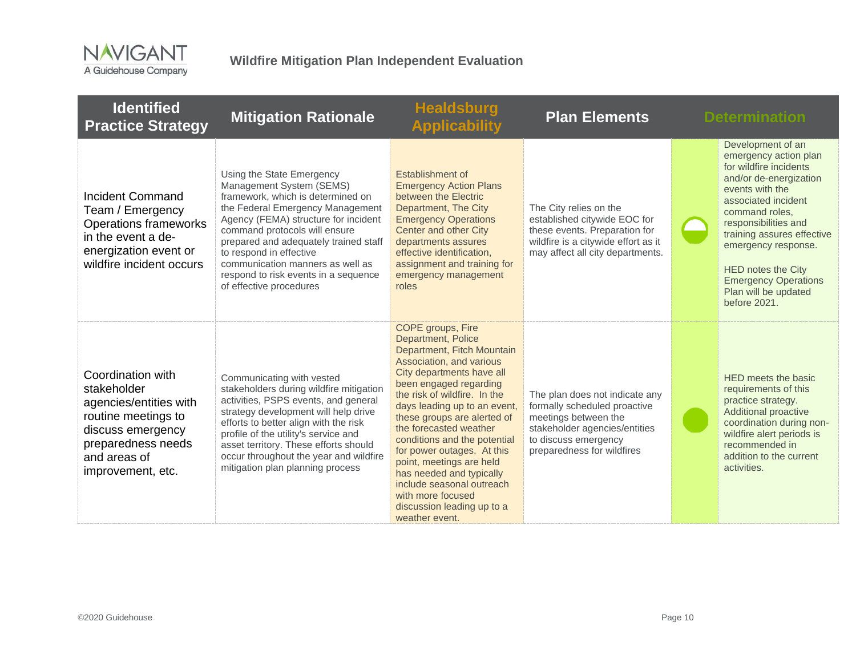

| <b>Identified</b><br><b>Practice Strategy</b>                                                                                                                     | <b>Mitigation Rationale</b>                                                                                                                                                                                                                                                                                                                                                        | <b>Healdsburg</b><br><b>Applicability</b>                                                                                                                                                                                                                                                                                                                                                                                                                                                                 | <b>Plan Elements</b>                                                                                                                                                          | <b>Determination</b>                                                                                                                                                                                                                                                                                                                        |
|-------------------------------------------------------------------------------------------------------------------------------------------------------------------|------------------------------------------------------------------------------------------------------------------------------------------------------------------------------------------------------------------------------------------------------------------------------------------------------------------------------------------------------------------------------------|-----------------------------------------------------------------------------------------------------------------------------------------------------------------------------------------------------------------------------------------------------------------------------------------------------------------------------------------------------------------------------------------------------------------------------------------------------------------------------------------------------------|-------------------------------------------------------------------------------------------------------------------------------------------------------------------------------|---------------------------------------------------------------------------------------------------------------------------------------------------------------------------------------------------------------------------------------------------------------------------------------------------------------------------------------------|
| Incident Command<br>Team / Emergency<br><b>Operations frameworks</b><br>in the event a de-<br>energization event or<br>wildfire incident occurs                   | Using the State Emergency<br>Management System (SEMS)<br>framework, which is determined on<br>the Federal Emergency Management<br>Agency (FEMA) structure for incident<br>command protocols will ensure<br>prepared and adequately trained staff<br>to respond in effective<br>communication manners as well as<br>respond to risk events in a sequence<br>of effective procedures | Establishment of<br><b>Emergency Action Plans</b><br>between the Electric<br>Department, The City<br><b>Emergency Operations</b><br>Center and other City<br>departments assures<br>effective identification,<br>assignment and training for<br>emergency management<br>roles                                                                                                                                                                                                                             | The City relies on the<br>established citywide EOC for<br>these events. Preparation for<br>wildfire is a citywide effort as it<br>may affect all city departments.            | Development of an<br>emergency action plan<br>for wildfire incidents<br>and/or de-energization<br>events with the<br>associated incident<br>command roles,<br>responsibilities and<br>training assures effective<br>emergency response.<br><b>HED notes the City</b><br><b>Emergency Operations</b><br>Plan will be updated<br>before 2021. |
| Coordination with<br>stakeholder<br>agencies/entities with<br>routine meetings to<br>discuss emergency<br>preparedness needs<br>and areas of<br>improvement, etc. | Communicating with vested<br>stakeholders during wildfire mitigation<br>activities, PSPS events, and general<br>strategy development will help drive<br>efforts to better align with the risk<br>profile of the utility's service and<br>asset territory. These efforts should<br>occur throughout the year and wildfire<br>mitigation plan planning process                       | COPE groups, Fire<br>Department, Police<br>Department, Fitch Mountain<br>Association, and various<br>City departments have all<br>been engaged regarding<br>the risk of wildfire. In the<br>days leading up to an event,<br>these groups are alerted of<br>the forecasted weather<br>conditions and the potential<br>for power outages. At this<br>point, meetings are held<br>has needed and typically<br>include seasonal outreach<br>with more focused<br>discussion leading up to a<br>weather event. | The plan does not indicate any<br>formally scheduled proactive<br>meetings between the<br>stakeholder agencies/entities<br>to discuss emergency<br>preparedness for wildfires | HED meets the basic<br>requirements of this<br>practice strategy.<br><b>Additional proactive</b><br>coordination during non-<br>wildfire alert periods is<br>recommended in<br>addition to the current<br>activities.                                                                                                                       |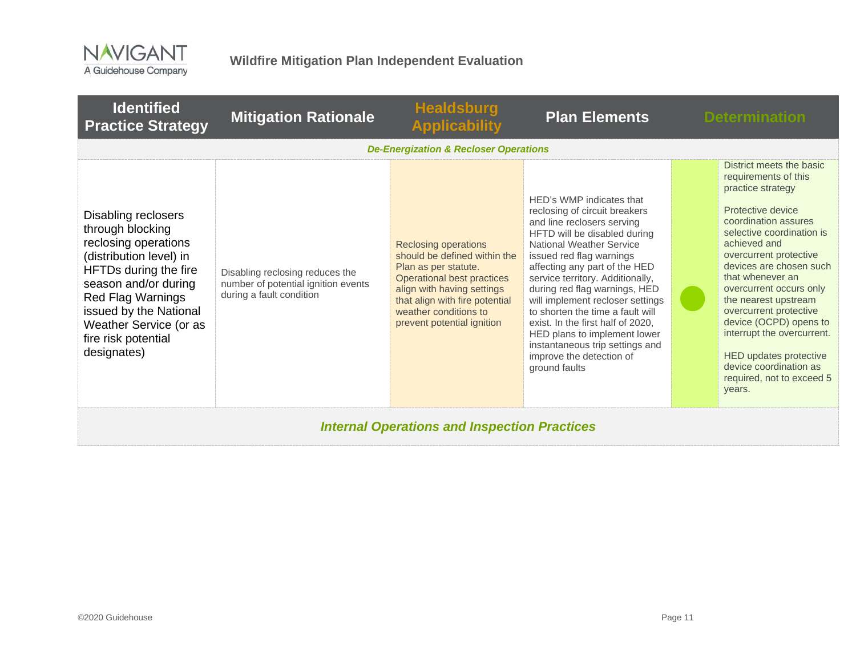

| <b>Identified</b><br><b>Practice Strategy</b>                                                                                                                                                                                                                     | <b>Mitigation Rationale</b>                                                                        | <b>Healdsburg</b><br><b>Applicability</b>                                                                                                                                                                                                | <b>Plan Elements</b>                                                                                                                                                                                                                                                                                                                                                                                                                                                                                                      | <b>Determination</b>                                                                                                                                                                                                                                                                                                                                                                                                                                                            |  |
|-------------------------------------------------------------------------------------------------------------------------------------------------------------------------------------------------------------------------------------------------------------------|----------------------------------------------------------------------------------------------------|------------------------------------------------------------------------------------------------------------------------------------------------------------------------------------------------------------------------------------------|---------------------------------------------------------------------------------------------------------------------------------------------------------------------------------------------------------------------------------------------------------------------------------------------------------------------------------------------------------------------------------------------------------------------------------------------------------------------------------------------------------------------------|---------------------------------------------------------------------------------------------------------------------------------------------------------------------------------------------------------------------------------------------------------------------------------------------------------------------------------------------------------------------------------------------------------------------------------------------------------------------------------|--|
|                                                                                                                                                                                                                                                                   |                                                                                                    | <b>De-Energization &amp; Recloser Operations</b>                                                                                                                                                                                         |                                                                                                                                                                                                                                                                                                                                                                                                                                                                                                                           |                                                                                                                                                                                                                                                                                                                                                                                                                                                                                 |  |
| Disabling reclosers<br>through blocking<br>reclosing operations<br>(distribution level) in<br>HFTDs during the fire<br>season and/or during<br><b>Red Flag Warnings</b><br>issued by the National<br>Weather Service (or as<br>fire risk potential<br>designates) | Disabling reclosing reduces the<br>number of potential ignition events<br>during a fault condition | <b>Reclosing operations</b><br>should be defined within the<br>Plan as per statute.<br>Operational best practices<br>align with having settings<br>that align with fire potential<br>weather conditions to<br>prevent potential ignition | HED's WMP indicates that<br>reclosing of circuit breakers<br>and line reclosers serving<br>HFTD will be disabled during<br><b>National Weather Service</b><br>issued red flag warnings<br>affecting any part of the HED<br>service territory. Additionally,<br>during red flag warnings, HED<br>will implement recloser settings<br>to shorten the time a fault will<br>exist. In the first half of 2020,<br>HED plans to implement lower<br>instantaneous trip settings and<br>improve the detection of<br>ground faults | District meets the basic<br>requirements of this<br>practice strategy<br>Protective device<br>coordination assures<br>selective coordination is<br>achieved and<br>overcurrent protective<br>devices are chosen such<br>that whenever an<br>overcurrent occurs only<br>the nearest upstream<br>overcurrent protective<br>device (OCPD) opens to<br>interrupt the overcurrent.<br><b>HED updates protective</b><br>device coordination as<br>required, not to exceed 5<br>years. |  |
| <b>Internal Operations and Inspection Practices</b>                                                                                                                                                                                                               |                                                                                                    |                                                                                                                                                                                                                                          |                                                                                                                                                                                                                                                                                                                                                                                                                                                                                                                           |                                                                                                                                                                                                                                                                                                                                                                                                                                                                                 |  |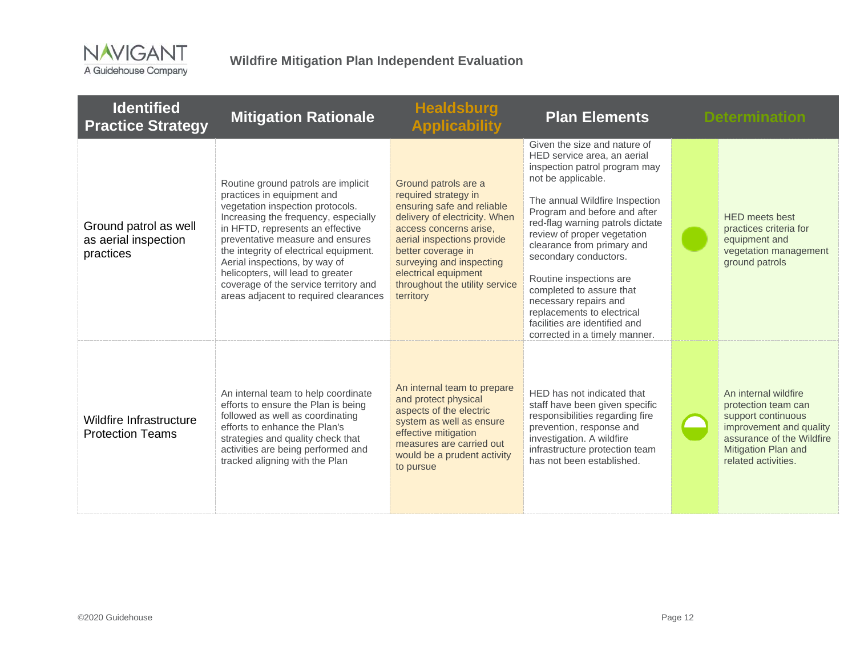

| <b>Identified</b><br><b>Practice Strategy</b>              | <b>Mitigation Rationale</b>                                                                                                                                                                                                                                                                                                                                                                                             | <b>Healdsburg</b><br><b>Applicability</b>                                                                                                                                                                                                                                                    | <b>Plan Elements</b>                                                                                                                                                                                                                                                                                                                                                                                                                                                                           | <b>Determination</b>                                                                                                                                                    |
|------------------------------------------------------------|-------------------------------------------------------------------------------------------------------------------------------------------------------------------------------------------------------------------------------------------------------------------------------------------------------------------------------------------------------------------------------------------------------------------------|----------------------------------------------------------------------------------------------------------------------------------------------------------------------------------------------------------------------------------------------------------------------------------------------|------------------------------------------------------------------------------------------------------------------------------------------------------------------------------------------------------------------------------------------------------------------------------------------------------------------------------------------------------------------------------------------------------------------------------------------------------------------------------------------------|-------------------------------------------------------------------------------------------------------------------------------------------------------------------------|
| Ground patrol as well<br>as aerial inspection<br>practices | Routine ground patrols are implicit<br>practices in equipment and<br>vegetation inspection protocols.<br>Increasing the frequency, especially<br>in HFTD, represents an effective<br>preventative measure and ensures<br>the integrity of electrical equipment.<br>Aerial inspections, by way of<br>helicopters, will lead to greater<br>coverage of the service territory and<br>areas adjacent to required clearances | Ground patrols are a<br>required strategy in<br>ensuring safe and reliable<br>delivery of electricity. When<br>access concerns arise,<br>aerial inspections provide<br>better coverage in<br>surveying and inspecting<br>electrical equipment<br>throughout the utility service<br>territory | Given the size and nature of<br>HED service area, an aerial<br>inspection patrol program may<br>not be applicable.<br>The annual Wildfire Inspection<br>Program and before and after<br>red-flag warning patrols dictate<br>review of proper vegetation<br>clearance from primary and<br>secondary conductors.<br>Routine inspections are<br>completed to assure that<br>necessary repairs and<br>replacements to electrical<br>facilities are identified and<br>corrected in a timely manner. | <b>HED</b> meets best<br>practices criteria for<br>equipment and<br>vegetation management<br>ground patrols                                                             |
| Wildfire Infrastructure<br><b>Protection Teams</b>         | An internal team to help coordinate<br>efforts to ensure the Plan is being<br>followed as well as coordinating<br>efforts to enhance the Plan's<br>strategies and quality check that<br>activities are being performed and<br>tracked aligning with the Plan                                                                                                                                                            | An internal team to prepare<br>and protect physical<br>aspects of the electric<br>system as well as ensure<br>effective mitigation<br>measures are carried out<br>would be a prudent activity<br>to pursue                                                                                   | HED has not indicated that<br>staff have been given specific<br>responsibilities regarding fire<br>prevention, response and<br>investigation. A wildfire<br>infrastructure protection team<br>has not been established.                                                                                                                                                                                                                                                                        | An internal wildfire<br>protection team can<br>support continuous<br>improvement and quality<br>assurance of the Wildfire<br>Mitigation Plan and<br>related activities. |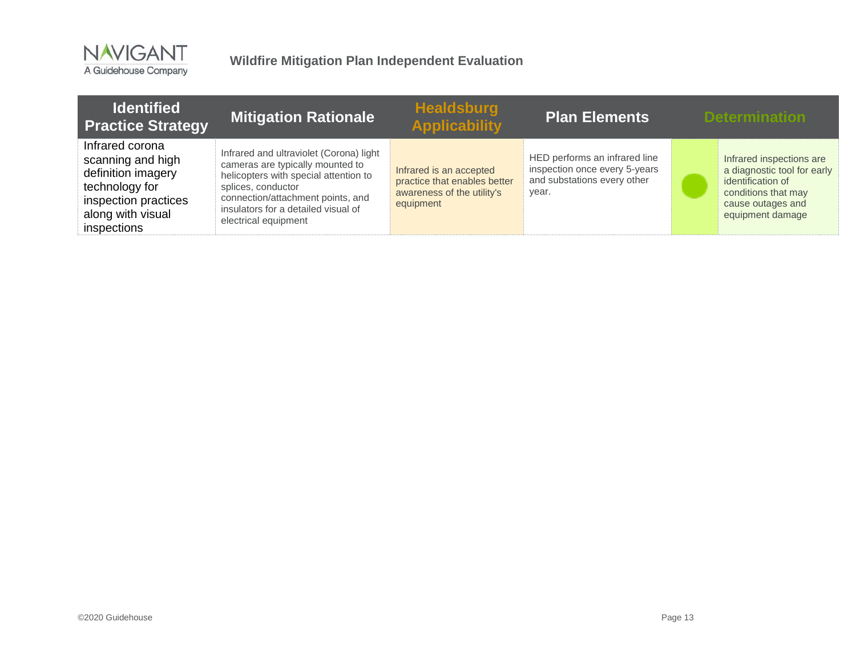

| <b>Identified</b><br><b>Practice Strategy</b>                                                                                            | <b>Mitigation Rationale</b>                                                                                                                                                                                                                    | <b>Healdsburg</b><br><b>Applicability</b>                                                          | Plan Elements                                                                                          | <b>Determination</b>                                                                                                                         |
|------------------------------------------------------------------------------------------------------------------------------------------|------------------------------------------------------------------------------------------------------------------------------------------------------------------------------------------------------------------------------------------------|----------------------------------------------------------------------------------------------------|--------------------------------------------------------------------------------------------------------|----------------------------------------------------------------------------------------------------------------------------------------------|
| Infrared corona<br>scanning and high<br>definition imagery<br>technology for<br>inspection practices<br>along with visual<br>inspections | Infrared and ultraviolet (Corona) light<br>cameras are typically mounted to<br>helicopters with special attention to<br>splices, conductor<br>connection/attachment points, and<br>insulators for a detailed visual of<br>electrical equipment | Infrared is an accepted<br>practice that enables better<br>awareness of the utility's<br>equipment | HED performs an infrared line<br>inspection once every 5-years<br>and substations every other<br>vear. | Infrared inspections are<br>a diagnostic tool for early<br>identification of<br>conditions that may<br>cause outages and<br>equipment damage |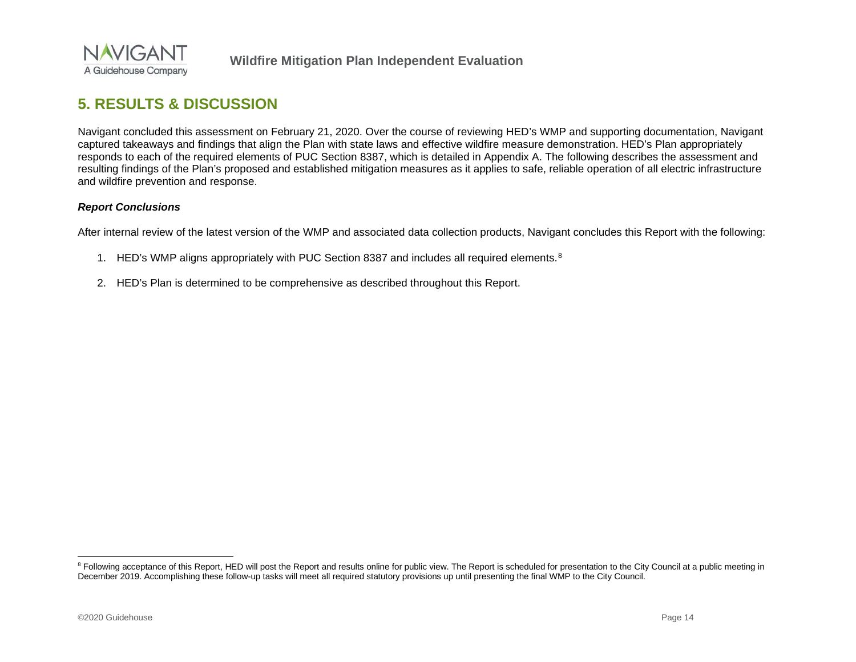<span id="page-36-1"></span>

# **5. RESULTS & DISCUSSION**

Navigant concluded this assessment on February 21, 2020. Over the course of reviewing HED's WMP and supporting documentation, Navigant captured takeaways and findings that align the Plan with state laws and effective wildfire measure demonstration. HED's Plan appropriately responds to each of the required elements of PUC Section 8387, which is detailed in Appendix A. The following describes the assessment and resulting findings of the Plan's proposed and established mitigation measures as it applies to safe, reliable operation of all electric infrastructure and wildfire prevention and response.

#### *Report Conclusions*

After internal review of the latest version of the WMP and associated data collection products, Navigant concludes this Report with the following:

- 1. HED's WMP aligns appropriately with PUC Section [8](#page-36-1)387 and includes all required elements.<sup>8</sup>
- <span id="page-36-0"></span>2. HED's Plan is determined to be comprehensive as described throughout this Report.

<sup>&</sup>lt;sup>8</sup> Following acceptance of this Report, HED will post the Report and results online for public view. The Report is scheduled for presentation to the City Council at a public meeting in December 2019. Accomplishing these follow-up tasks will meet all required statutory provisions up until presenting the final WMP to the City Council.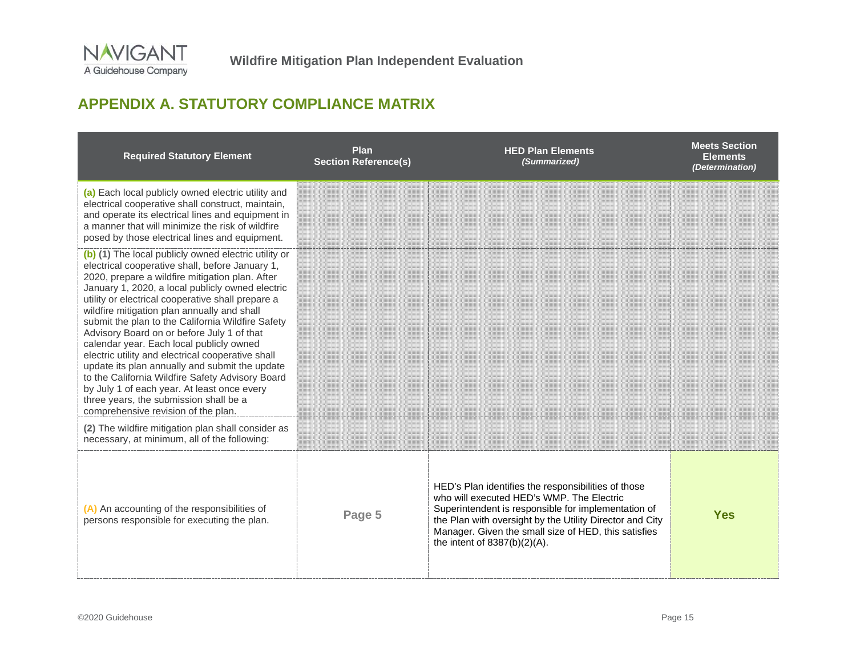# **APPENDIX A. STATUTORY COMPLIANCE MATRIX**

<span id="page-37-0"></span>

| <b>Required Statutory Element</b>                                                                                                                                                                                                                                                                                                                                                                                                                                                                                                                                                                                                                                                                                                                            | Plan<br><b>Section Reference(s)</b> | <b>HED Plan Elements</b><br>(Summarized)                                                                                                                                                                                                                                                                       | <b>Meets Section</b><br><b>Elements</b><br>(Determination) |
|--------------------------------------------------------------------------------------------------------------------------------------------------------------------------------------------------------------------------------------------------------------------------------------------------------------------------------------------------------------------------------------------------------------------------------------------------------------------------------------------------------------------------------------------------------------------------------------------------------------------------------------------------------------------------------------------------------------------------------------------------------------|-------------------------------------|----------------------------------------------------------------------------------------------------------------------------------------------------------------------------------------------------------------------------------------------------------------------------------------------------------------|------------------------------------------------------------|
| (a) Each local publicly owned electric utility and<br>electrical cooperative shall construct, maintain,<br>and operate its electrical lines and equipment in<br>a manner that will minimize the risk of wildfire<br>posed by those electrical lines and equipment.                                                                                                                                                                                                                                                                                                                                                                                                                                                                                           |                                     |                                                                                                                                                                                                                                                                                                                |                                                            |
| (b) (1) The local publicly owned electric utility or<br>electrical cooperative shall, before January 1,<br>2020, prepare a wildfire mitigation plan. After<br>January 1, 2020, a local publicly owned electric<br>utility or electrical cooperative shall prepare a<br>wildfire mitigation plan annually and shall<br>submit the plan to the California Wildfire Safety<br>Advisory Board on or before July 1 of that<br>calendar year. Each local publicly owned<br>electric utility and electrical cooperative shall<br>update its plan annually and submit the update<br>to the California Wildfire Safety Advisory Board<br>by July 1 of each year. At least once every<br>three years, the submission shall be a<br>comprehensive revision of the plan. |                                     |                                                                                                                                                                                                                                                                                                                |                                                            |
| (2) The wildfire mitigation plan shall consider as<br>necessary, at minimum, all of the following:                                                                                                                                                                                                                                                                                                                                                                                                                                                                                                                                                                                                                                                           |                                     |                                                                                                                                                                                                                                                                                                                |                                                            |
| (A) An accounting of the responsibilities of<br>persons responsible for executing the plan.                                                                                                                                                                                                                                                                                                                                                                                                                                                                                                                                                                                                                                                                  | Page 5                              | HED's Plan identifies the responsibilities of those<br>who will executed HED's WMP. The Electric<br>Superintendent is responsible for implementation of<br>the Plan with oversight by the Utility Director and City<br>Manager. Given the small size of HED, this satisfies<br>the intent of $8387(b)(2)(A)$ . | <b>Yes</b>                                                 |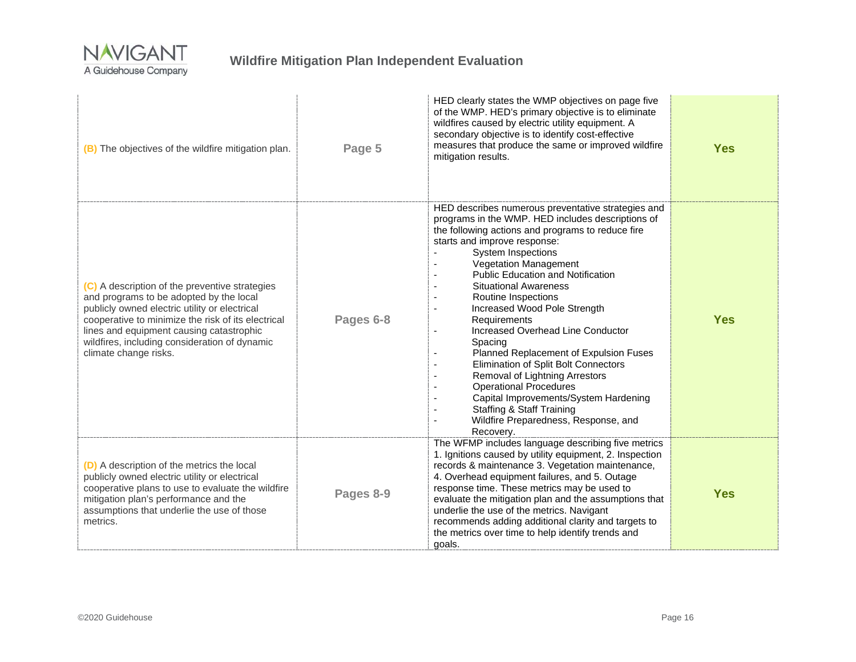

| (B) The objectives of the wildfire mitigation plan.                                                                                                                                                                                                                                                                    | Page 5    | HED clearly states the WMP objectives on page five<br>of the WMP. HED's primary objective is to eliminate<br>wildfires caused by electric utility equipment. A<br>secondary objective is to identify cost-effective<br>measures that produce the same or improved wildfire<br>mitigation results.                                                                                                                                                                                                                                                                                                                                                                                                                                                                     | <b>Yes</b> |
|------------------------------------------------------------------------------------------------------------------------------------------------------------------------------------------------------------------------------------------------------------------------------------------------------------------------|-----------|-----------------------------------------------------------------------------------------------------------------------------------------------------------------------------------------------------------------------------------------------------------------------------------------------------------------------------------------------------------------------------------------------------------------------------------------------------------------------------------------------------------------------------------------------------------------------------------------------------------------------------------------------------------------------------------------------------------------------------------------------------------------------|------------|
| (C) A description of the preventive strategies<br>and programs to be adopted by the local<br>publicly owned electric utility or electrical<br>cooperative to minimize the risk of its electrical<br>lines and equipment causing catastrophic<br>wildfires, including consideration of dynamic<br>climate change risks. | Pages 6-8 | HED describes numerous preventative strategies and<br>programs in the WMP. HED includes descriptions of<br>the following actions and programs to reduce fire<br>starts and improve response:<br>System Inspections<br>Vegetation Management<br><b>Public Education and Notification</b><br><b>Situational Awareness</b><br>Routine Inspections<br>Increased Wood Pole Strength<br>Requirements<br>Increased Overhead Line Conductor<br>$\overline{\phantom{a}}$<br>Spacing<br>Planned Replacement of Expulsion Fuses<br>Elimination of Split Bolt Connectors<br>Removal of Lightning Arrestors<br><b>Operational Procedures</b><br>Capital Improvements/System Hardening<br><b>Staffing &amp; Staff Training</b><br>Wildfire Preparedness, Response, and<br>Recovery. | <b>Yes</b> |
| (D) A description of the metrics the local<br>publicly owned electric utility or electrical<br>cooperative plans to use to evaluate the wildfire<br>mitigation plan's performance and the<br>assumptions that underlie the use of those<br>metrics.                                                                    | Pages 8-9 | The WFMP includes language describing five metrics<br>1. Ignitions caused by utility equipment, 2. Inspection<br>records & maintenance 3. Vegetation maintenance,<br>4. Overhead equipment failures, and 5. Outage<br>response time. These metrics may be used to<br>evaluate the mitigation plan and the assumptions that<br>underlie the use of the metrics. Navigant<br>recommends adding additional clarity and targets to<br>the metrics over time to help identify trends and<br>goals.                                                                                                                                                                                                                                                                         | <b>Yes</b> |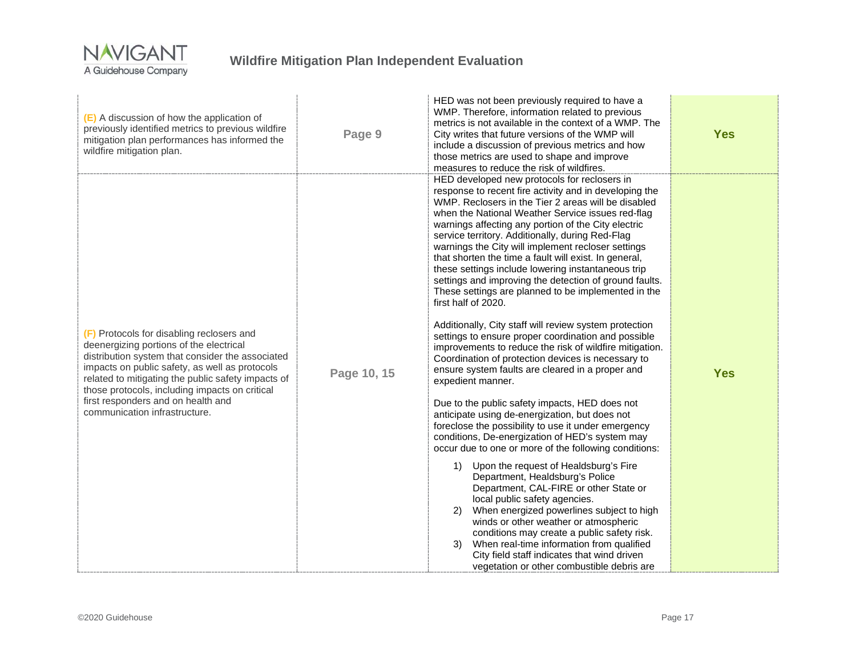

# **Wildfire Mitigation Plan Independent Evaluation**

| (E) A discussion of how the application of<br>previously identified metrics to previous wildfire<br>mitigation plan performances has informed the<br>wildfire mitigation plan.                                                                                                                                                                                            | Page 9      | HED was not been previously required to have a<br>WMP. Therefore, information related to previous<br>metrics is not available in the context of a WMP. The<br>City writes that future versions of the WMP will<br>include a discussion of previous metrics and how<br>those metrics are used to shape and improve<br>measures to reduce the risk of wildfires.                                                                                                                                                                                                                                                                                                                                                                                                                                                                                                                                                                                                                                                                                                                                                                                                                                                                                                                                                                                                                                                                                                                                                                                                                                                                                                                    | <b>Yes</b> |
|---------------------------------------------------------------------------------------------------------------------------------------------------------------------------------------------------------------------------------------------------------------------------------------------------------------------------------------------------------------------------|-------------|-----------------------------------------------------------------------------------------------------------------------------------------------------------------------------------------------------------------------------------------------------------------------------------------------------------------------------------------------------------------------------------------------------------------------------------------------------------------------------------------------------------------------------------------------------------------------------------------------------------------------------------------------------------------------------------------------------------------------------------------------------------------------------------------------------------------------------------------------------------------------------------------------------------------------------------------------------------------------------------------------------------------------------------------------------------------------------------------------------------------------------------------------------------------------------------------------------------------------------------------------------------------------------------------------------------------------------------------------------------------------------------------------------------------------------------------------------------------------------------------------------------------------------------------------------------------------------------------------------------------------------------------------------------------------------------|------------|
| (F) Protocols for disabling reclosers and<br>deenergizing portions of the electrical<br>distribution system that consider the associated<br>impacts on public safety, as well as protocols<br>related to mitigating the public safety impacts of<br>those protocols, including impacts on critical<br>first responders and on health and<br>communication infrastructure. | Page 10, 15 | HED developed new protocols for reclosers in<br>response to recent fire activity and in developing the<br>WMP. Reclosers in the Tier 2 areas will be disabled<br>when the National Weather Service issues red-flag<br>warnings affecting any portion of the City electric<br>service territory. Additionally, during Red-Flag<br>warnings the City will implement recloser settings<br>that shorten the time a fault will exist. In general,<br>these settings include lowering instantaneous trip<br>settings and improving the detection of ground faults.<br>These settings are planned to be implemented in the<br>first half of 2020.<br>Additionally, City staff will review system protection<br>settings to ensure proper coordination and possible<br>improvements to reduce the risk of wildfire mitigation.<br>Coordination of protection devices is necessary to<br>ensure system faults are cleared in a proper and<br>expedient manner.<br>Due to the public safety impacts, HED does not<br>anticipate using de-energization, but does not<br>foreclose the possibility to use it under emergency<br>conditions, De-energization of HED's system may<br>occur due to one or more of the following conditions:<br>1) Upon the request of Healdsburg's Fire<br>Department, Healdsburg's Police<br>Department, CAL-FIRE or other State or<br>local public safety agencies.<br>When energized powerlines subject to high<br>2)<br>winds or other weather or atmospheric<br>conditions may create a public safety risk.<br>When real-time information from qualified<br>3)<br>City field staff indicates that wind driven<br>vegetation or other combustible debris are | <b>Yes</b> |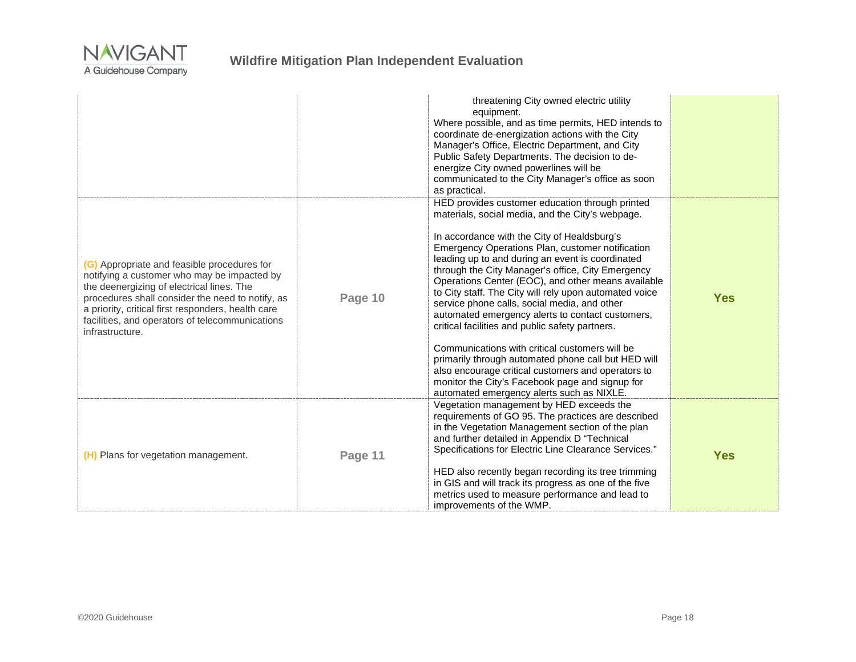

|                                                                                                                                                                                                                                                                                                                         |         | threatening City owned electric utility<br>equipment.<br>Where possible, and as time permits, HED intends to<br>coordinate de-energization actions with the City<br>Manager's Office, Electric Department, and City<br>Public Safety Departments. The decision to de-<br>energize City owned powerlines will be<br>communicated to the City Manager's office as soon<br>as practical.                                                                                                                                                                                                                                                                                                                                                                                                                                                                 |            |
|-------------------------------------------------------------------------------------------------------------------------------------------------------------------------------------------------------------------------------------------------------------------------------------------------------------------------|---------|-------------------------------------------------------------------------------------------------------------------------------------------------------------------------------------------------------------------------------------------------------------------------------------------------------------------------------------------------------------------------------------------------------------------------------------------------------------------------------------------------------------------------------------------------------------------------------------------------------------------------------------------------------------------------------------------------------------------------------------------------------------------------------------------------------------------------------------------------------|------------|
| (G) Appropriate and feasible procedures for<br>notifying a customer who may be impacted by<br>the deenergizing of electrical lines. The<br>procedures shall consider the need to notify, as<br>a priority, critical first responders, health care<br>facilities, and operators of telecommunications<br>infrastructure. | Page 10 | HED provides customer education through printed<br>materials, social media, and the City's webpage.<br>In accordance with the City of Healdsburg's<br>Emergency Operations Plan, customer notification<br>leading up to and during an event is coordinated<br>through the City Manager's office, City Emergency<br>Operations Center (EOC), and other means available<br>to City staff. The City will rely upon automated voice<br>service phone calls, social media, and other<br>automated emergency alerts to contact customers,<br>critical facilities and public safety partners.<br>Communications with critical customers will be<br>primarily through automated phone call but HED will<br>also encourage critical customers and operators to<br>monitor the City's Facebook page and signup for<br>automated emergency alerts such as NIXLE. | <b>Yes</b> |
| (H) Plans for vegetation management.                                                                                                                                                                                                                                                                                    | Page 11 | Vegetation management by HED exceeds the<br>requirements of GO 95. The practices are described<br>in the Vegetation Management section of the plan<br>and further detailed in Appendix D "Technical<br>Specifications for Electric Line Clearance Services."<br>HED also recently began recording its tree trimming<br>in GIS and will track its progress as one of the five<br>metrics used to measure performance and lead to<br>improvements of the WMP.                                                                                                                                                                                                                                                                                                                                                                                           | <b>Yes</b> |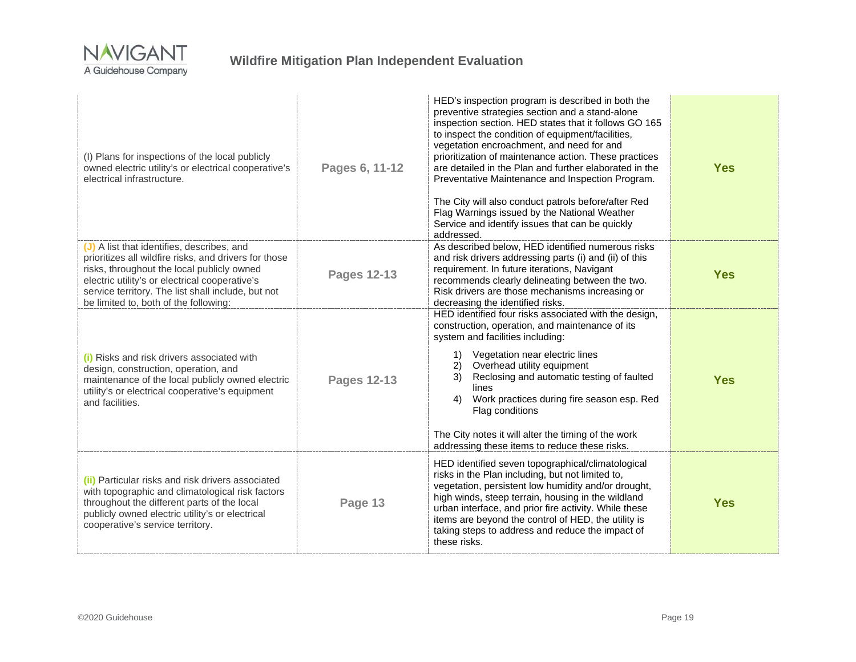

| (I) Plans for inspections of the local publicly<br>owned electric utility's or electrical cooperative's<br>electrical infrastructure.                                                                                                                                                              | Pages 6, 11-12     | HED's inspection program is described in both the<br>preventive strategies section and a stand-alone<br>inspection section. HED states that it follows GO 165<br>to inspect the condition of equipment/facilities,<br>vegetation encroachment, and need for and<br>prioritization of maintenance action. These practices<br>are detailed in the Plan and further elaborated in the<br>Preventative Maintenance and Inspection Program.<br>The City will also conduct patrols before/after Red<br>Flag Warnings issued by the National Weather<br>Service and identify issues that can be quickly<br>addressed. | <b>Yes</b> |
|----------------------------------------------------------------------------------------------------------------------------------------------------------------------------------------------------------------------------------------------------------------------------------------------------|--------------------|----------------------------------------------------------------------------------------------------------------------------------------------------------------------------------------------------------------------------------------------------------------------------------------------------------------------------------------------------------------------------------------------------------------------------------------------------------------------------------------------------------------------------------------------------------------------------------------------------------------|------------|
| (J) A list that identifies, describes, and<br>prioritizes all wildfire risks, and drivers for those<br>risks, throughout the local publicly owned<br>electric utility's or electrical cooperative's<br>service territory. The list shall include, but not<br>be limited to, both of the following: | <b>Pages 12-13</b> | As described below, HED identified numerous risks<br>and risk drivers addressing parts (i) and (ii) of this<br>requirement. In future iterations, Navigant<br>recommends clearly delineating between the two.<br>Risk drivers are those mechanisms increasing or<br>decreasing the identified risks.                                                                                                                                                                                                                                                                                                           | <b>Yes</b> |
| (i) Risks and risk drivers associated with<br>design, construction, operation, and<br>maintenance of the local publicly owned electric<br>utility's or electrical cooperative's equipment<br>and facilities.                                                                                       | <b>Pages 12-13</b> | HED identified four risks associated with the design,<br>construction, operation, and maintenance of its<br>system and facilities including:<br>Vegetation near electric lines<br>1)<br>Overhead utility equipment<br>2)<br>Reclosing and automatic testing of faulted<br>3)<br>lines<br>Work practices during fire season esp. Red<br>4)<br>Flag conditions<br>The City notes it will alter the timing of the work<br>addressing these items to reduce these risks.                                                                                                                                           | <b>Yes</b> |
| (ii) Particular risks and risk drivers associated<br>with topographic and climatological risk factors<br>throughout the different parts of the local<br>publicly owned electric utility's or electrical<br>cooperative's service territory.                                                        | Page 13            | HED identified seven topographical/climatological<br>risks in the Plan including, but not limited to,<br>vegetation, persistent low humidity and/or drought,<br>high winds, steep terrain, housing in the wildland<br>urban interface, and prior fire activity. While these<br>items are beyond the control of HED, the utility is<br>taking steps to address and reduce the impact of<br>these risks.                                                                                                                                                                                                         | <b>Yes</b> |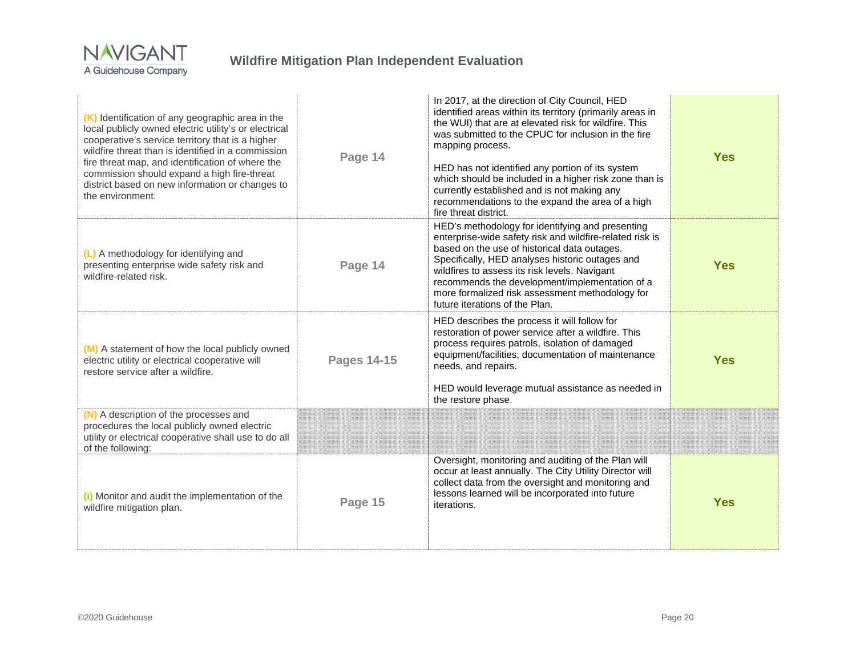

| (K) Identification of any geographic area in the<br>local publicly owned electric utility's or electrical<br>cooperative's service territory that is a higher<br>wildfire threat than is identified in a commission<br>fire threat map, and identification of where the<br>commission should expand a high fire-threat<br>district based on new information or changes to<br>the environment. | Page 14            | In 2017, at the direction of City Council, HED<br>identified areas within its territory (primarily areas in<br>the WUI) that are at elevated risk for wildfire. This<br>was submitted to the CPUC for inclusion in the fire<br>mapping process.<br>HED has not identified any portion of its system<br>which should be included in a higher risk zone than is<br>currently established and is not making any<br>recommendations to the expand the area of a high<br>fire threat district. | <b>Yes</b> |
|-----------------------------------------------------------------------------------------------------------------------------------------------------------------------------------------------------------------------------------------------------------------------------------------------------------------------------------------------------------------------------------------------|--------------------|-------------------------------------------------------------------------------------------------------------------------------------------------------------------------------------------------------------------------------------------------------------------------------------------------------------------------------------------------------------------------------------------------------------------------------------------------------------------------------------------|------------|
| (L) A methodology for identifying and<br>presenting enterprise wide safety risk and<br>wildfire-related risk.                                                                                                                                                                                                                                                                                 | Page 14            | HED's methodology for identifying and presenting<br>enterprise-wide safety risk and wildfire-related risk is<br>based on the use of historical data outages.<br>Specifically, HED analyses historic outages and<br>wildfires to assess its risk levels. Navigant<br>recommends the development/implementation of a<br>more formalized risk assessment methodology for<br>future iterations of the Plan.                                                                                   | <b>Yes</b> |
| (M) A statement of how the local publicly owned<br>electric utility or electrical cooperative will<br>restore service after a wildfire.                                                                                                                                                                                                                                                       | <b>Pages 14-15</b> | HED describes the process it will follow for<br>restoration of power service after a wildfire. This<br>process requires patrols, isolation of damaged<br>equipment/facilities, documentation of maintenance<br>needs, and repairs.<br>HED would leverage mutual assistance as needed in<br>the restore phase.                                                                                                                                                                             | <b>Yes</b> |
| (N) A description of the processes and<br>procedures the local publicly owned electric<br>utility or electrical cooperative shall use to do all<br>of the following:                                                                                                                                                                                                                          |                    |                                                                                                                                                                                                                                                                                                                                                                                                                                                                                           |            |
| (i) Monitor and audit the implementation of the<br>wildfire mitigation plan.                                                                                                                                                                                                                                                                                                                  | Page 15            | Oversight, monitoring and auditing of the Plan will<br>occur at least annually. The City Utility Director will<br>collect data from the oversight and monitoring and<br>lessons learned will be incorporated into future<br>iterations.                                                                                                                                                                                                                                                   | <b>Yes</b> |